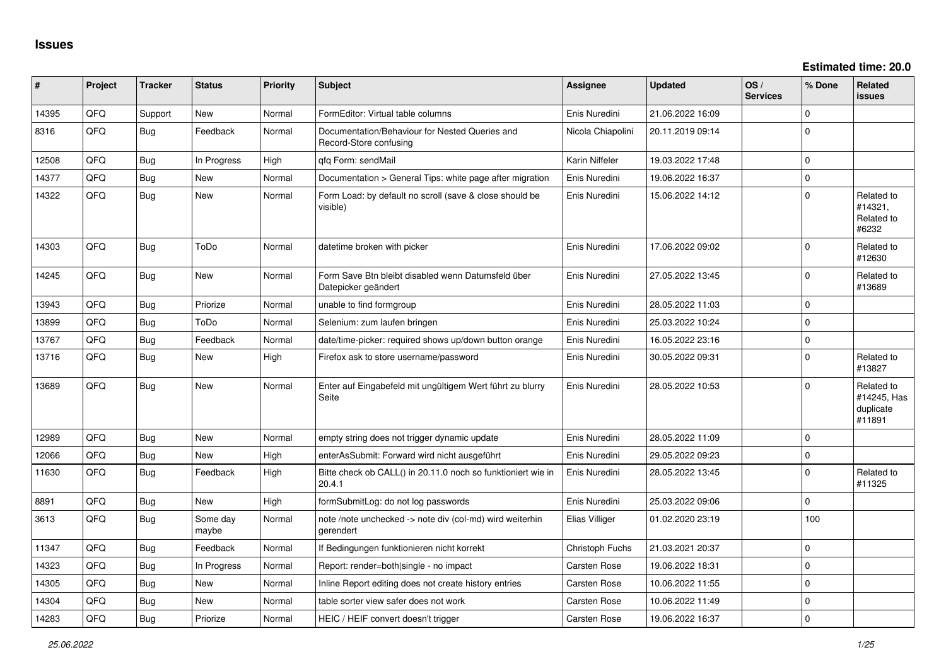| ∥ #   | Project    | <b>Tracker</b> | <b>Status</b>     | <b>Priority</b> | <b>Subject</b>                                                            | Assignee            | <b>Updated</b>   | OS/<br><b>Services</b> | % Done      | <b>Related</b><br><b>issues</b>                  |
|-------|------------|----------------|-------------------|-----------------|---------------------------------------------------------------------------|---------------------|------------------|------------------------|-------------|--------------------------------------------------|
| 14395 | QFQ        | Support        | New               | Normal          | FormEditor: Virtual table columns                                         | Enis Nuredini       | 21.06.2022 16:09 |                        | $\mathbf 0$ |                                                  |
| 8316  | QFQ        | Bug            | Feedback          | Normal          | Documentation/Behaviour for Nested Queries and<br>Record-Store confusing  | Nicola Chiapolini   | 20.11.2019 09:14 |                        | $\mathbf 0$ |                                                  |
| 12508 | QFQ        | Bug            | In Progress       | High            | qfq Form: sendMail                                                        | Karin Niffeler      | 19.03.2022 17:48 |                        | $\mathbf 0$ |                                                  |
| 14377 | QFQ        | Bug            | New               | Normal          | Documentation > General Tips: white page after migration                  | Enis Nuredini       | 19.06.2022 16:37 |                        | $\pmb{0}$   |                                                  |
| 14322 | QFQ        | Bug            | <b>New</b>        | Normal          | Form Load: by default no scroll (save & close should be<br>visible)       | Enis Nuredini       | 15.06.2022 14:12 |                        | $\mathbf 0$ | Related to<br>#14321,<br>Related to<br>#6232     |
| 14303 | QFQ        | Bug            | ToDo              | Normal          | datetime broken with picker                                               | Enis Nuredini       | 17.06.2022 09:02 |                        | $\mathbf 0$ | Related to<br>#12630                             |
| 14245 | QFQ        | <b>Bug</b>     | <b>New</b>        | Normal          | Form Save Btn bleibt disabled wenn Datumsfeld über<br>Datepicker geändert | Enis Nuredini       | 27.05.2022 13:45 |                        | $\mathbf 0$ | Related to<br>#13689                             |
| 13943 | QFQ        | <b>Bug</b>     | Priorize          | Normal          | unable to find formgroup                                                  | Enis Nuredini       | 28.05.2022 11:03 |                        | $\mathbf 0$ |                                                  |
| 13899 | <b>OFO</b> | <b>Bug</b>     | ToDo              | Normal          | Selenium: zum laufen bringen                                              | Enis Nuredini       | 25.03.2022 10:24 |                        | $\mathbf 0$ |                                                  |
| 13767 | QFQ        | <b>Bug</b>     | Feedback          | Normal          | date/time-picker: required shows up/down button orange                    | Enis Nuredini       | 16.05.2022 23:16 |                        | $\pmb{0}$   |                                                  |
| 13716 | QFQ        | Bug            | New               | High            | Firefox ask to store username/password                                    | Enis Nuredini       | 30.05.2022 09:31 |                        | $\mathbf 0$ | Related to<br>#13827                             |
| 13689 | QFQ        | <b>Bug</b>     | New               | Normal          | Enter auf Eingabefeld mit ungültigem Wert führt zu blurry<br>Seite        | Enis Nuredini       | 28.05.2022 10:53 |                        | $\mathbf 0$ | Related to<br>#14245, Has<br>duplicate<br>#11891 |
| 12989 | QFQ        | Bug            | <b>New</b>        | Normal          | empty string does not trigger dynamic update                              | Enis Nuredini       | 28.05.2022 11:09 |                        | $\mathbf 0$ |                                                  |
| 12066 | QFQ        | Bug            | New               | High            | enterAsSubmit: Forward wird nicht ausgeführt                              | Enis Nuredini       | 29.05.2022 09:23 |                        | $\pmb{0}$   |                                                  |
| 11630 | QFQ        | Bug            | Feedback          | High            | Bitte check ob CALL() in 20.11.0 noch so funktioniert wie in<br>20.4.1    | Enis Nuredini       | 28.05.2022 13:45 |                        | $\Omega$    | Related to<br>#11325                             |
| 8891  | QFQ        | <b>Bug</b>     | <b>New</b>        | High            | formSubmitLog: do not log passwords                                       | Enis Nuredini       | 25.03.2022 09:06 |                        | $\mathbf 0$ |                                                  |
| 3613  | QFQ        | Bug            | Some day<br>maybe | Normal          | note /note unchecked -> note div (col-md) wird weiterhin<br>gerendert     | Elias Villiger      | 01.02.2020 23:19 |                        | 100         |                                                  |
| 11347 | QFQ        | <b>Bug</b>     | Feedback          | Normal          | If Bedingungen funktionieren nicht korrekt                                | Christoph Fuchs     | 21.03.2021 20:37 |                        | $\pmb{0}$   |                                                  |
| 14323 | QFQ        | <b>Bug</b>     | In Progress       | Normal          | Report: render=both single - no impact                                    | <b>Carsten Rose</b> | 19.06.2022 18:31 |                        | $\pmb{0}$   |                                                  |
| 14305 | QFQ.       | Bug            | New               | Normal          | Inline Report editing does not create history entries                     | Carsten Rose        | 10.06.2022 11:55 |                        | $\mathbf 0$ |                                                  |
| 14304 | QFQ        | <b>Bug</b>     | New               | Normal          | table sorter view safer does not work                                     | <b>Carsten Rose</b> | 10.06.2022 11:49 |                        | $\pmb{0}$   |                                                  |
| 14283 | QFQ        | Bug            | Priorize          | Normal          | HEIC / HEIF convert doesn't trigger                                       | Carsten Rose        | 19.06.2022 16:37 |                        | $\mathbf 0$ |                                                  |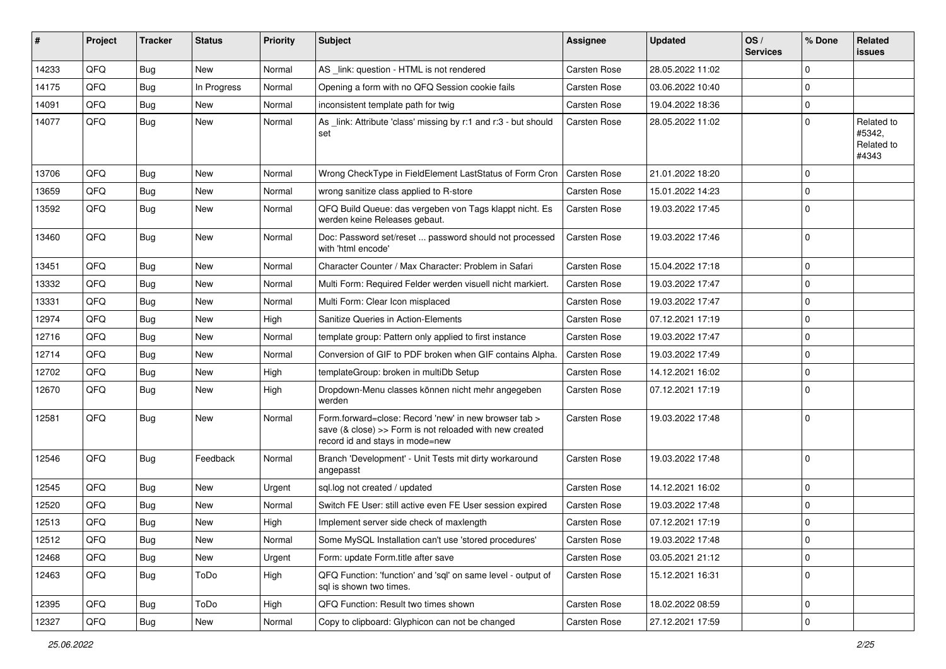| #     | Project | <b>Tracker</b> | <b>Status</b> | <b>Priority</b> | <b>Subject</b>                                                                                                                                      | <b>Assignee</b>     | <b>Updated</b>   | OS/<br><b>Services</b> | % Done      | Related<br><b>issues</b>                    |
|-------|---------|----------------|---------------|-----------------|-----------------------------------------------------------------------------------------------------------------------------------------------------|---------------------|------------------|------------------------|-------------|---------------------------------------------|
| 14233 | QFQ     | Bug            | New           | Normal          | AS _link: question - HTML is not rendered                                                                                                           | Carsten Rose        | 28.05.2022 11:02 |                        | $\Omega$    |                                             |
| 14175 | QFQ     | Bug            | In Progress   | Normal          | Opening a form with no QFQ Session cookie fails                                                                                                     | Carsten Rose        | 03.06.2022 10:40 |                        | $\Omega$    |                                             |
| 14091 | QFQ     | <b>Bug</b>     | New           | Normal          | inconsistent template path for twig                                                                                                                 | Carsten Rose        | 19.04.2022 18:36 |                        | $\Omega$    |                                             |
| 14077 | QFQ     | <b>Bug</b>     | New           | Normal          | As _link: Attribute 'class' missing by r:1 and r:3 - but should<br>set                                                                              | Carsten Rose        | 28.05.2022 11:02 |                        | $\Omega$    | Related to<br>#5342,<br>Related to<br>#4343 |
| 13706 | QFQ     | <b>Bug</b>     | New           | Normal          | Wrong CheckType in FieldElement LastStatus of Form Cron                                                                                             | <b>Carsten Rose</b> | 21.01.2022 18:20 |                        | $\Omega$    |                                             |
| 13659 | QFQ     | Bug            | <b>New</b>    | Normal          | wrong sanitize class applied to R-store                                                                                                             | Carsten Rose        | 15.01.2022 14:23 |                        | $\Omega$    |                                             |
| 13592 | QFQ     | Bug            | New           | Normal          | QFQ Build Queue: das vergeben von Tags klappt nicht. Es<br>werden keine Releases gebaut.                                                            | Carsten Rose        | 19.03.2022 17:45 |                        | $\Omega$    |                                             |
| 13460 | QFQ     | Bug            | New           | Normal          | Doc: Password set/reset  password should not processed<br>with 'html encode'                                                                        | Carsten Rose        | 19.03.2022 17:46 |                        | $\Omega$    |                                             |
| 13451 | QFQ     | Bug            | New           | Normal          | Character Counter / Max Character: Problem in Safari                                                                                                | Carsten Rose        | 15.04.2022 17:18 |                        | $\mathbf 0$ |                                             |
| 13332 | QFQ     | <b>Bug</b>     | <b>New</b>    | Normal          | Multi Form: Required Felder werden visuell nicht markiert.                                                                                          | Carsten Rose        | 19.03.2022 17:47 |                        | $\Omega$    |                                             |
| 13331 | QFQ     | <b>Bug</b>     | New           | Normal          | Multi Form: Clear Icon misplaced                                                                                                                    | Carsten Rose        | 19.03.2022 17:47 |                        | $\Omega$    |                                             |
| 12974 | QFQ     | <b>Bug</b>     | <b>New</b>    | High            | Sanitize Queries in Action-Elements                                                                                                                 | Carsten Rose        | 07.12.2021 17:19 |                        | $\Omega$    |                                             |
| 12716 | QFQ     | <b>Bug</b>     | New           | Normal          | template group: Pattern only applied to first instance                                                                                              | Carsten Rose        | 19.03.2022 17:47 |                        | $\Omega$    |                                             |
| 12714 | QFQ     | <b>Bug</b>     | New           | Normal          | Conversion of GIF to PDF broken when GIF contains Alpha.                                                                                            | Carsten Rose        | 19.03.2022 17:49 |                        | $\Omega$    |                                             |
| 12702 | QFQ     | <b>Bug</b>     | New           | High            | templateGroup: broken in multiDb Setup                                                                                                              | Carsten Rose        | 14.12.2021 16:02 |                        | $\Omega$    |                                             |
| 12670 | QFQ     | <b>Bug</b>     | New           | High            | Dropdown-Menu classes können nicht mehr angegeben<br>werden                                                                                         | Carsten Rose        | 07.12.2021 17:19 |                        | $\Omega$    |                                             |
| 12581 | QFQ     | Bug            | New           | Normal          | Form.forward=close: Record 'new' in new browser tab ><br>save (& close) >> Form is not reloaded with new created<br>record id and stays in mode=new | Carsten Rose        | 19.03.2022 17:48 |                        | $\Omega$    |                                             |
| 12546 | QFQ     | Bug            | Feedback      | Normal          | Branch 'Development' - Unit Tests mit dirty workaround<br>angepasst                                                                                 | Carsten Rose        | 19.03.2022 17:48 |                        | $\Omega$    |                                             |
| 12545 | QFQ     | <b>Bug</b>     | New           | Urgent          | sql.log not created / updated                                                                                                                       | <b>Carsten Rose</b> | 14.12.2021 16:02 |                        | $\Omega$    |                                             |
| 12520 | QFQ     | <b>Bug</b>     | New           | Normal          | Switch FE User: still active even FE User session expired                                                                                           | Carsten Rose        | 19.03.2022 17:48 |                        | $\Omega$    |                                             |
| 12513 | QFQ     | <b>Bug</b>     | New           | High            | Implement server side check of maxlength                                                                                                            | Carsten Rose        | 07.12.2021 17:19 |                        | $\Omega$    |                                             |
| 12512 | QFQ     | <b>Bug</b>     | New           | Normal          | Some MySQL Installation can't use 'stored procedures'                                                                                               | Carsten Rose        | 19.03.2022 17:48 |                        | 0           |                                             |
| 12468 | QFQ     | <b>Bug</b>     | New           | Urgent          | Form: update Form.title after save                                                                                                                  | Carsten Rose        | 03.05.2021 21:12 |                        | $\mathbf 0$ |                                             |
| 12463 | QFQ     | i Bug          | ToDo          | High            | QFQ Function: 'function' and 'sql' on same level - output of<br>sal is shown two times.                                                             | <b>Carsten Rose</b> | 15.12.2021 16:31 |                        | $\Omega$    |                                             |
| 12395 | QFQ     | <b>Bug</b>     | ToDo          | High            | QFQ Function: Result two times shown                                                                                                                | Carsten Rose        | 18.02.2022 08:59 |                        | $\mathbf 0$ |                                             |
| 12327 | QFQ     | <b>Bug</b>     | New           | Normal          | Copy to clipboard: Glyphicon can not be changed                                                                                                     | Carsten Rose        | 27.12.2021 17:59 |                        | 0           |                                             |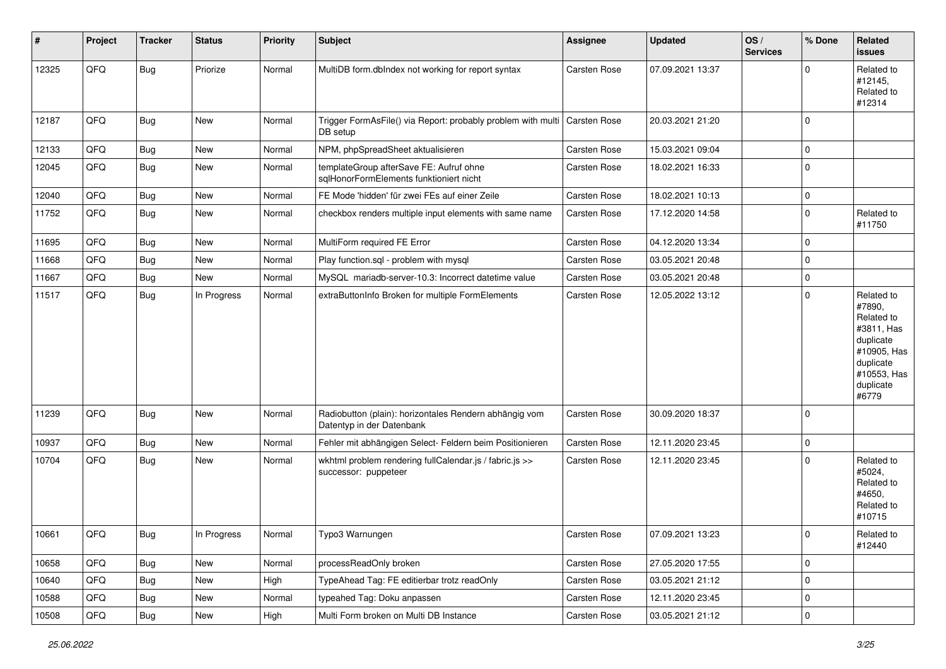| #     | Project | <b>Tracker</b> | <b>Status</b> | <b>Priority</b> | <b>Subject</b>                                                                      | <b>Assignee</b> | <b>Updated</b>   | OS/<br><b>Services</b> | % Done              | Related<br><b>issues</b>                                                                                                       |
|-------|---------|----------------|---------------|-----------------|-------------------------------------------------------------------------------------|-----------------|------------------|------------------------|---------------------|--------------------------------------------------------------------------------------------------------------------------------|
| 12325 | QFQ     | <b>Bug</b>     | Priorize      | Normal          | MultiDB form.dbIndex not working for report syntax                                  | Carsten Rose    | 07.09.2021 13:37 |                        | $\mathbf 0$         | Related to<br>#12145,<br>Related to<br>#12314                                                                                  |
| 12187 | QFQ     | <b>Bug</b>     | New           | Normal          | Trigger FormAsFile() via Report: probably problem with multi<br>DB setup            | Carsten Rose    | 20.03.2021 21:20 |                        | $\mathbf 0$         |                                                                                                                                |
| 12133 | QFQ     | <b>Bug</b>     | New           | Normal          | NPM, phpSpreadSheet aktualisieren                                                   | Carsten Rose    | 15.03.2021 09:04 |                        | $\mathbf 0$         |                                                                                                                                |
| 12045 | QFQ     | <b>Bug</b>     | New           | Normal          | templateGroup afterSave FE: Aufruf ohne<br>sqlHonorFormElements funktioniert nicht  | Carsten Rose    | 18.02.2021 16:33 |                        | 0                   |                                                                                                                                |
| 12040 | QFQ     | Bug            | New           | Normal          | FE Mode 'hidden' für zwei FEs auf einer Zeile                                       | Carsten Rose    | 18.02.2021 10:13 |                        | $\mathbf 0$         |                                                                                                                                |
| 11752 | QFQ     | Bug            | New           | Normal          | checkbox renders multiple input elements with same name                             | Carsten Rose    | 17.12.2020 14:58 |                        | $\mathbf 0$         | Related to<br>#11750                                                                                                           |
| 11695 | QFQ     | <b>Bug</b>     | New           | Normal          | MultiForm required FE Error                                                         | Carsten Rose    | 04.12.2020 13:34 |                        | $\mathbf 0$         |                                                                                                                                |
| 11668 | QFQ     | <b>Bug</b>     | New           | Normal          | Play function.sql - problem with mysql                                              | Carsten Rose    | 03.05.2021 20:48 |                        | $\mathbf 0$         |                                                                                                                                |
| 11667 | QFQ     | <b>Bug</b>     | New           | Normal          | MySQL mariadb-server-10.3: Incorrect datetime value                                 | Carsten Rose    | 03.05.2021 20:48 |                        | $\mathbf 0$         |                                                                                                                                |
| 11517 | QFQ     | <b>Bug</b>     | In Progress   | Normal          | extraButtonInfo Broken for multiple FormElements                                    | Carsten Rose    | 12.05.2022 13:12 |                        | $\mathbf 0$         | Related to<br>#7890,<br>Related to<br>#3811, Has<br>duplicate<br>#10905, Has<br>duplicate<br>#10553, Has<br>duplicate<br>#6779 |
| 11239 | QFQ     | <b>Bug</b>     | New           | Normal          | Radiobutton (plain): horizontales Rendern abhängig vom<br>Datentyp in der Datenbank | Carsten Rose    | 30.09.2020 18:37 |                        | $\mathbf 0$         |                                                                                                                                |
| 10937 | QFQ     | Bug            | New           | Normal          | Fehler mit abhängigen Select- Feldern beim Positionieren                            | Carsten Rose    | 12.11.2020 23:45 |                        | $\mathbf 0$         |                                                                                                                                |
| 10704 | QFQ     | <b>Bug</b>     | New           | Normal          | wkhtml problem rendering fullCalendar.js / fabric.js >><br>successor: puppeteer     | Carsten Rose    | 12.11.2020 23:45 |                        | $\mathbf 0$         | Related to<br>#5024,<br>Related to<br>#4650.<br>Related to<br>#10715                                                           |
| 10661 | QFQ     | Bug            | In Progress   | Normal          | Typo3 Warnungen                                                                     | Carsten Rose    | 07.09.2021 13:23 |                        | $\pmb{0}$           | Related to<br>#12440                                                                                                           |
| 10658 | QFQ     | <b>Bug</b>     | New           | Normal          | processReadOnly broken                                                              | Carsten Rose    | 27.05.2020 17:55 |                        | $\mathbf 0$         |                                                                                                                                |
| 10640 | QFQ     | <b>Bug</b>     | New           | High            | TypeAhead Tag: FE editierbar trotz readOnly                                         | Carsten Rose    | 03.05.2021 21:12 |                        | $\mathsf{O}\xspace$ |                                                                                                                                |
| 10588 | QFQ     | <b>Bug</b>     | New           | Normal          | typeahed Tag: Doku anpassen                                                         | Carsten Rose    | 12.11.2020 23:45 |                        | $\mathbf 0$         |                                                                                                                                |
| 10508 | QFQ     | Bug            | New           | High            | Multi Form broken on Multi DB Instance                                              | Carsten Rose    | 03.05.2021 21:12 |                        | $\mathsf{O}\xspace$ |                                                                                                                                |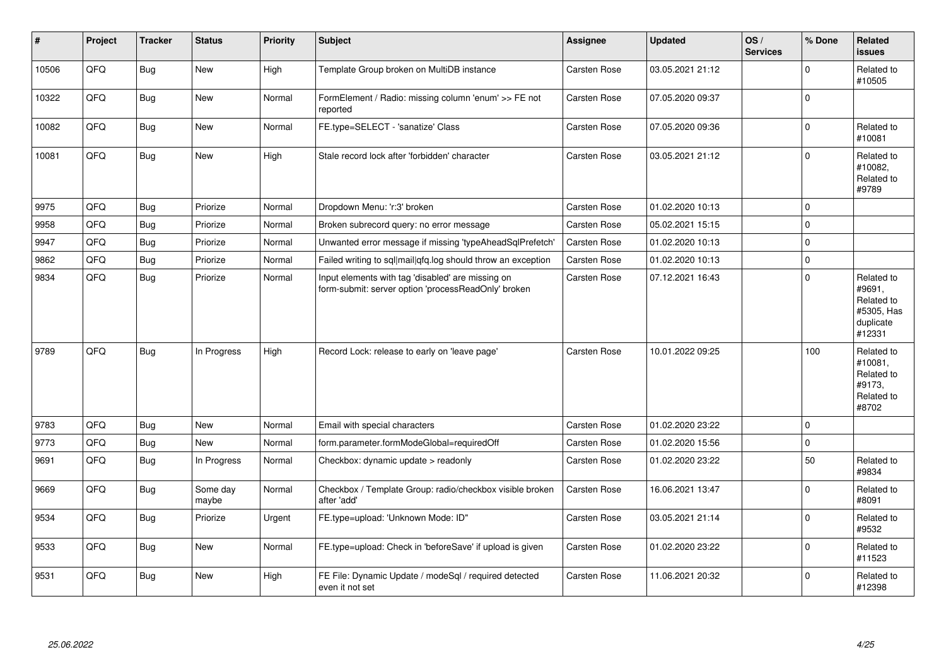| #     | Project | <b>Tracker</b> | <b>Status</b>     | <b>Priority</b> | <b>Subject</b>                                                                                           | Assignee            | <b>Updated</b>   | OS/<br><b>Services</b> | % Done      | Related<br><b>issues</b>                                                |
|-------|---------|----------------|-------------------|-----------------|----------------------------------------------------------------------------------------------------------|---------------------|------------------|------------------------|-------------|-------------------------------------------------------------------------|
| 10506 | QFQ     | <b>Bug</b>     | <b>New</b>        | High            | Template Group broken on MultiDB instance                                                                | Carsten Rose        | 03.05.2021 21:12 |                        | $\mathbf 0$ | Related to<br>#10505                                                    |
| 10322 | QFQ     | Bug            | New               | Normal          | FormElement / Radio: missing column 'enum' >> FE not<br>reported                                         | Carsten Rose        | 07.05.2020 09:37 |                        | $\mathbf 0$ |                                                                         |
| 10082 | QFQ     | <b>Bug</b>     | New               | Normal          | FE.type=SELECT - 'sanatize' Class                                                                        | Carsten Rose        | 07.05.2020 09:36 |                        | $\mathbf 0$ | Related to<br>#10081                                                    |
| 10081 | QFQ     | <b>Bug</b>     | New               | High            | Stale record lock after 'forbidden' character                                                            | Carsten Rose        | 03.05.2021 21:12 |                        | $\pmb{0}$   | Related to<br>#10082,<br>Related to<br>#9789                            |
| 9975  | QFQ     | <b>Bug</b>     | Priorize          | Normal          | Dropdown Menu: 'r:3' broken                                                                              | Carsten Rose        | 01.02.2020 10:13 |                        | $\mathbf 0$ |                                                                         |
| 9958  | QFQ     | Bug            | Priorize          | Normal          | Broken subrecord query: no error message                                                                 | <b>Carsten Rose</b> | 05.02.2021 15:15 |                        | $\Omega$    |                                                                         |
| 9947  | QFQ     | <b>Bug</b>     | Priorize          | Normal          | Unwanted error message if missing 'typeAheadSqlPrefetch'                                                 | Carsten Rose        | 01.02.2020 10:13 |                        | $\pmb{0}$   |                                                                         |
| 9862  | QFQ     | <b>Bug</b>     | Priorize          | Normal          | Failed writing to sql mail qfq.log should throw an exception                                             | Carsten Rose        | 01.02.2020 10:13 |                        | $\mathbf 0$ |                                                                         |
| 9834  | QFQ     | <b>Bug</b>     | Priorize          | Normal          | Input elements with tag 'disabled' are missing on<br>form-submit: server option 'processReadOnly' broken | Carsten Rose        | 07.12.2021 16:43 |                        | $\mathbf 0$ | Related to<br>#9691,<br>Related to<br>#5305, Has<br>duplicate<br>#12331 |
| 9789  | QFQ     | <b>Bug</b>     | In Progress       | High            | Record Lock: release to early on 'leave page'                                                            | <b>Carsten Rose</b> | 10.01.2022 09:25 |                        | 100         | Related to<br>#10081.<br>Related to<br>#9173.<br>Related to<br>#8702    |
| 9783  | QFQ     | <b>Bug</b>     | <b>New</b>        | Normal          | Email with special characters                                                                            | Carsten Rose        | 01.02.2020 23:22 |                        | $\mathbf 0$ |                                                                         |
| 9773  | QFQ     | <b>Bug</b>     | New               | Normal          | form.parameter.formModeGlobal=requiredOff                                                                | Carsten Rose        | 01.02.2020 15:56 |                        | $\pmb{0}$   |                                                                         |
| 9691  | QFQ     | <b>Bug</b>     | In Progress       | Normal          | Checkbox: dynamic update > readonly                                                                      | Carsten Rose        | 01.02.2020 23:22 |                        | 50          | Related to<br>#9834                                                     |
| 9669  | QFQ     | <b>Bug</b>     | Some day<br>maybe | Normal          | Checkbox / Template Group: radio/checkbox visible broken<br>after 'add'                                  | Carsten Rose        | 16.06.2021 13:47 |                        | $\mathbf 0$ | Related to<br>#8091                                                     |
| 9534  | QFQ     | Bug            | Priorize          | Urgent          | FE.type=upload: 'Unknown Mode: ID"                                                                       | Carsten Rose        | 03.05.2021 21:14 |                        | $\mathbf 0$ | Related to<br>#9532                                                     |
| 9533  | QFQ     | Bug            | New               | Normal          | FE.type=upload: Check in 'beforeSave' if upload is given                                                 | Carsten Rose        | 01.02.2020 23:22 |                        | $\mathbf 0$ | Related to<br>#11523                                                    |
| 9531  | QFQ     | <b>Bug</b>     | New               | High            | FE File: Dynamic Update / modeSql / required detected<br>even it not set                                 | <b>Carsten Rose</b> | 11.06.2021 20:32 |                        | $\mathbf 0$ | Related to<br>#12398                                                    |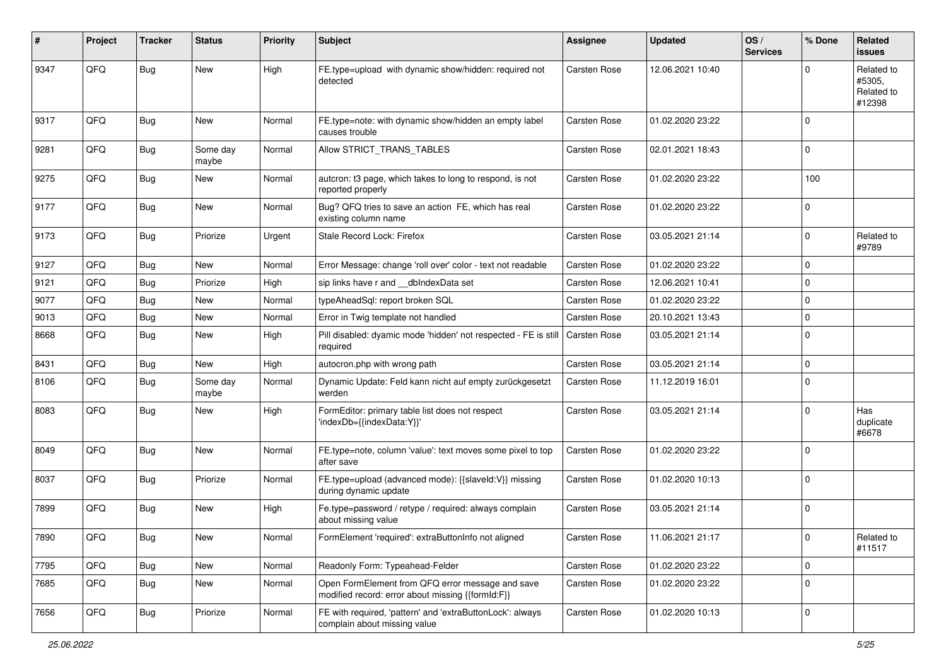| #    | Project | <b>Tracker</b> | <b>Status</b>     | <b>Priority</b> | Subject                                                                                               | <b>Assignee</b>     | <b>Updated</b>   | OS/<br><b>Services</b> | % Done       | Related<br><b>issues</b>                     |
|------|---------|----------------|-------------------|-----------------|-------------------------------------------------------------------------------------------------------|---------------------|------------------|------------------------|--------------|----------------------------------------------|
| 9347 | QFQ     | <b>Bug</b>     | New               | High            | FE.type=upload with dynamic show/hidden: required not<br>detected                                     | <b>Carsten Rose</b> | 12.06.2021 10:40 |                        | $\Omega$     | Related to<br>#5305,<br>Related to<br>#12398 |
| 9317 | QFQ     | <b>Bug</b>     | New               | Normal          | FE.type=note: with dynamic show/hidden an empty label<br>causes trouble                               | Carsten Rose        | 01.02.2020 23:22 |                        | $\mathbf 0$  |                                              |
| 9281 | QFQ     | <b>Bug</b>     | Some day<br>maybe | Normal          | Allow STRICT_TRANS_TABLES                                                                             | <b>Carsten Rose</b> | 02.01.2021 18:43 |                        | $\mathsf 0$  |                                              |
| 9275 | QFQ     | <b>Bug</b>     | New               | Normal          | autcron: t3 page, which takes to long to respond, is not<br>reported properly                         | Carsten Rose        | 01.02.2020 23:22 |                        | 100          |                                              |
| 9177 | QFQ     | Bug            | New               | Normal          | Bug? QFQ tries to save an action FE, which has real<br>existing column name                           | <b>Carsten Rose</b> | 01.02.2020 23:22 |                        | $\mathbf 0$  |                                              |
| 9173 | QFQ     | Bug            | Priorize          | Urgent          | Stale Record Lock: Firefox                                                                            | Carsten Rose        | 03.05.2021 21:14 |                        | $\mathbf 0$  | Related to<br>#9789                          |
| 9127 | QFQ     | <b>Bug</b>     | New               | Normal          | Error Message: change 'roll over' color - text not readable                                           | <b>Carsten Rose</b> | 01.02.2020 23:22 |                        | $\mathbf 0$  |                                              |
| 9121 | QFQ     | <b>Bug</b>     | Priorize          | High            | sip links have r and __dbIndexData set                                                                | <b>Carsten Rose</b> | 12.06.2021 10:41 |                        | $\mathbf 0$  |                                              |
| 9077 | QFQ     | <b>Bug</b>     | New               | Normal          | typeAheadSql: report broken SQL                                                                       | Carsten Rose        | 01.02.2020 23:22 |                        | $\mathbf 0$  |                                              |
| 9013 | QFQ     | <b>Bug</b>     | New               | Normal          | Error in Twig template not handled                                                                    | Carsten Rose        | 20.10.2021 13:43 |                        | $\mathbf 0$  |                                              |
| 8668 | QFQ     | Bug            | New               | High            | Pill disabled: dyamic mode 'hidden' not respected - FE is still<br>required                           | <b>Carsten Rose</b> | 03.05.2021 21:14 |                        | $\mathbf 0$  |                                              |
| 8431 | QFQ     | Bug            | New               | High            | autocron.php with wrong path                                                                          | <b>Carsten Rose</b> | 03.05.2021 21:14 |                        | $\mathbf 0$  |                                              |
| 8106 | QFQ     | Bug            | Some day<br>maybe | Normal          | Dynamic Update: Feld kann nicht auf empty zurückgesetzt<br>werden                                     | Carsten Rose        | 11.12.2019 16:01 |                        | $\mathbf 0$  |                                              |
| 8083 | QFQ     | <b>Bug</b>     | New               | High            | FormEditor: primary table list does not respect<br>'indexDb={{indexData:Y}}'                          | <b>Carsten Rose</b> | 03.05.2021 21:14 |                        | $\mathbf 0$  | Has<br>duplicate<br>#6678                    |
| 8049 | QFQ     | <b>Bug</b>     | New               | Normal          | FE.type=note, column 'value': text moves some pixel to top<br>after save                              | <b>Carsten Rose</b> | 01.02.2020 23:22 |                        | $\mathbf 0$  |                                              |
| 8037 | QFQ     | <b>Bug</b>     | Priorize          | Normal          | FE.type=upload (advanced mode): {{slaveld:V}} missing<br>during dynamic update                        | Carsten Rose        | 01.02.2020 10:13 |                        | $\mathbf 0$  |                                              |
| 7899 | QFQ     | Bug            | New               | High            | Fe.type=password / retype / required: always complain<br>about missing value                          | Carsten Rose        | 03.05.2021 21:14 |                        | $\mathbf 0$  |                                              |
| 7890 | QFQ     | <b>Bug</b>     | New               | Normal          | FormElement 'required': extraButtonInfo not aligned                                                   | Carsten Rose        | 11.06.2021 21:17 |                        | $\mathbf{0}$ | Related to<br>#11517                         |
| 7795 | QFQ     | Bug            | New               | Normal          | Readonly Form: Typeahead-Felder                                                                       | Carsten Rose        | 01.02.2020 23:22 |                        | $\mathbf 0$  |                                              |
| 7685 | QFQ     | Bug            | New               | Normal          | Open FormElement from QFQ error message and save<br>modified record: error about missing {{formId:F}} | Carsten Rose        | 01.02.2020 23:22 |                        | $\mathbf 0$  |                                              |
| 7656 | QFQ     | <b>Bug</b>     | Priorize          | Normal          | FE with required, 'pattern' and 'extraButtonLock': always<br>complain about missing value             | Carsten Rose        | 01.02.2020 10:13 |                        | $\mathsf 0$  |                                              |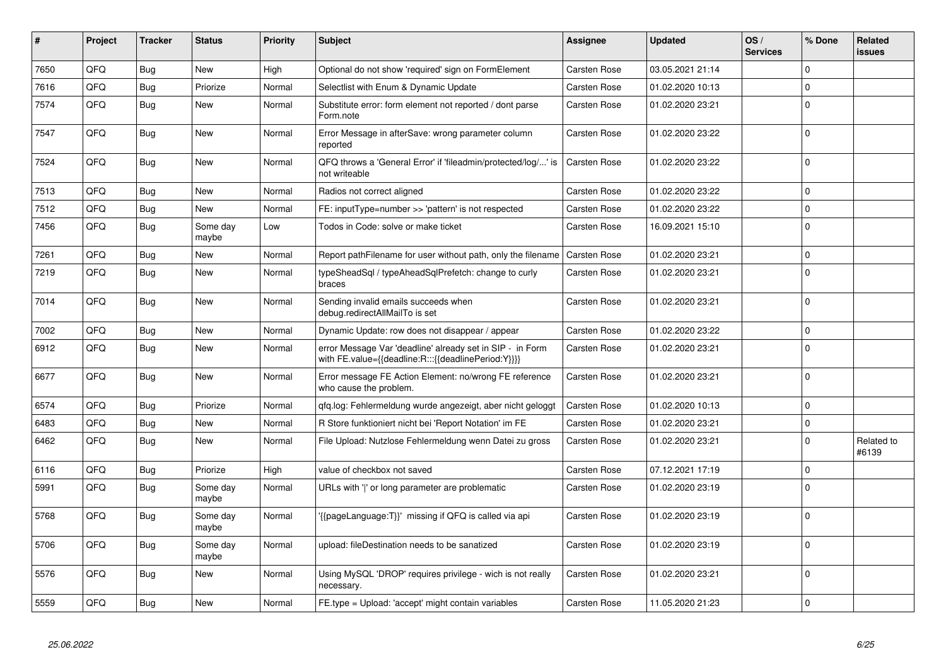| #    | Project | <b>Tracker</b> | <b>Status</b>     | <b>Priority</b> | <b>Subject</b>                                                                                                   | Assignee            | <b>Updated</b>   | OS/<br><b>Services</b> | % Done      | Related<br><b>issues</b> |
|------|---------|----------------|-------------------|-----------------|------------------------------------------------------------------------------------------------------------------|---------------------|------------------|------------------------|-------------|--------------------------|
| 7650 | QFQ     | Bug            | New               | High            | Optional do not show 'required' sign on FormElement                                                              | <b>Carsten Rose</b> | 03.05.2021 21:14 |                        | $\Omega$    |                          |
| 7616 | QFQ     | <b>Bug</b>     | Priorize          | Normal          | Selectlist with Enum & Dynamic Update                                                                            | Carsten Rose        | 01.02.2020 10:13 |                        | $\Omega$    |                          |
| 7574 | QFQ     | <b>Bug</b>     | New               | Normal          | Substitute error: form element not reported / dont parse<br>Form.note                                            | <b>Carsten Rose</b> | 01.02.2020 23:21 |                        | $\mathbf 0$ |                          |
| 7547 | QFQ     | <b>Bug</b>     | New               | Normal          | Error Message in afterSave: wrong parameter column<br>reported                                                   | Carsten Rose        | 01.02.2020 23:22 |                        | $\Omega$    |                          |
| 7524 | QFQ     | <b>Bug</b>     | <b>New</b>        | Normal          | QFQ throws a 'General Error' if 'fileadmin/protected/log/' is<br>not writeable                                   | <b>Carsten Rose</b> | 01.02.2020 23:22 |                        | $\Omega$    |                          |
| 7513 | QFQ     | <b>Bug</b>     | <b>New</b>        | Normal          | Radios not correct aligned                                                                                       | Carsten Rose        | 01.02.2020 23:22 |                        | $\Omega$    |                          |
| 7512 | QFQ     | <b>Bug</b>     | <b>New</b>        | Normal          | FE: inputType=number >> 'pattern' is not respected                                                               | Carsten Rose        | 01.02.2020 23:22 |                        | $\mathbf 0$ |                          |
| 7456 | QFQ     | <b>Bug</b>     | Some day<br>maybe | Low             | Todos in Code: solve or make ticket                                                                              | Carsten Rose        | 16.09.2021 15:10 |                        | $\Omega$    |                          |
| 7261 | QFQ     | <b>Bug</b>     | <b>New</b>        | Normal          | Report pathFilename for user without path, only the filename                                                     | Carsten Rose        | 01.02.2020 23:21 |                        | $\Omega$    |                          |
| 7219 | QFQ     | Bug            | New               | Normal          | typeSheadSql / typeAheadSqlPrefetch: change to curly<br>braces                                                   | Carsten Rose        | 01.02.2020 23:21 |                        | $\Omega$    |                          |
| 7014 | QFQ     | <b>Bug</b>     | <b>New</b>        | Normal          | Sending invalid emails succeeds when<br>debug.redirectAllMailTo is set                                           | <b>Carsten Rose</b> | 01.02.2020 23:21 |                        | $\Omega$    |                          |
| 7002 | QFQ     | Bug            | New               | Normal          | Dynamic Update: row does not disappear / appear                                                                  | <b>Carsten Rose</b> | 01.02.2020 23:22 |                        | 0           |                          |
| 6912 | QFQ     | <b>Bug</b>     | New               | Normal          | error Message Var 'deadline' already set in SIP - in Form<br>with FE.value={{deadline:R:::{{deadlinePeriod:Y}}}} | <b>Carsten Rose</b> | 01.02.2020 23:21 |                        | $\Omega$    |                          |
| 6677 | QFQ     | <b>Bug</b>     | New               | Normal          | Error message FE Action Element: no/wrong FE reference<br>who cause the problem.                                 | Carsten Rose        | 01.02.2020 23:21 |                        | $\mathbf 0$ |                          |
| 6574 | QFQ     | <b>Bug</b>     | Priorize          | Normal          | qfq.log: Fehlermeldung wurde angezeigt, aber nicht geloggt                                                       | <b>Carsten Rose</b> | 01.02.2020 10:13 |                        | $\mathbf 0$ |                          |
| 6483 | QFQ     | <b>Bug</b>     | New               | Normal          | R Store funktioniert nicht bei 'Report Notation' im FE                                                           | <b>Carsten Rose</b> | 01.02.2020 23:21 |                        | $\Omega$    |                          |
| 6462 | QFQ     | Bug            | New               | Normal          | File Upload: Nutzlose Fehlermeldung wenn Datei zu gross                                                          | <b>Carsten Rose</b> | 01.02.2020 23:21 |                        | $\Omega$    | Related to<br>#6139      |
| 6116 | QFQ     | <b>Bug</b>     | Priorize          | High            | value of checkbox not saved                                                                                      | <b>Carsten Rose</b> | 07.12.2021 17:19 |                        | 0           |                          |
| 5991 | QFQ     | <b>Bug</b>     | Some day<br>maybe | Normal          | URLs with 'I' or long parameter are problematic                                                                  | <b>Carsten Rose</b> | 01.02.2020 23:19 |                        | $\Omega$    |                          |
| 5768 | QFQ     | <b>Bug</b>     | Some day<br>maybe | Normal          | '{{pageLanguage:T}}' missing if QFQ is called via api                                                            | Carsten Rose        | 01.02.2020 23:19 |                        | $\Omega$    |                          |
| 5706 | QFQ     | <b>Bug</b>     | Some day<br>maybe | Normal          | upload: fileDestination needs to be sanatized                                                                    | Carsten Rose        | 01.02.2020 23:19 |                        | $\Omega$    |                          |
| 5576 | QFQ     | <b>Bug</b>     | New               | Normal          | Using MySQL 'DROP' requires privilege - wich is not really<br>necessary.                                         | Carsten Rose        | 01.02.2020 23:21 |                        | $\Omega$    |                          |
| 5559 | QFQ     | Bug            | New               | Normal          | FE.type = Upload: 'accept' might contain variables                                                               | Carsten Rose        | 11.05.2020 21:23 |                        | $\mathbf 0$ |                          |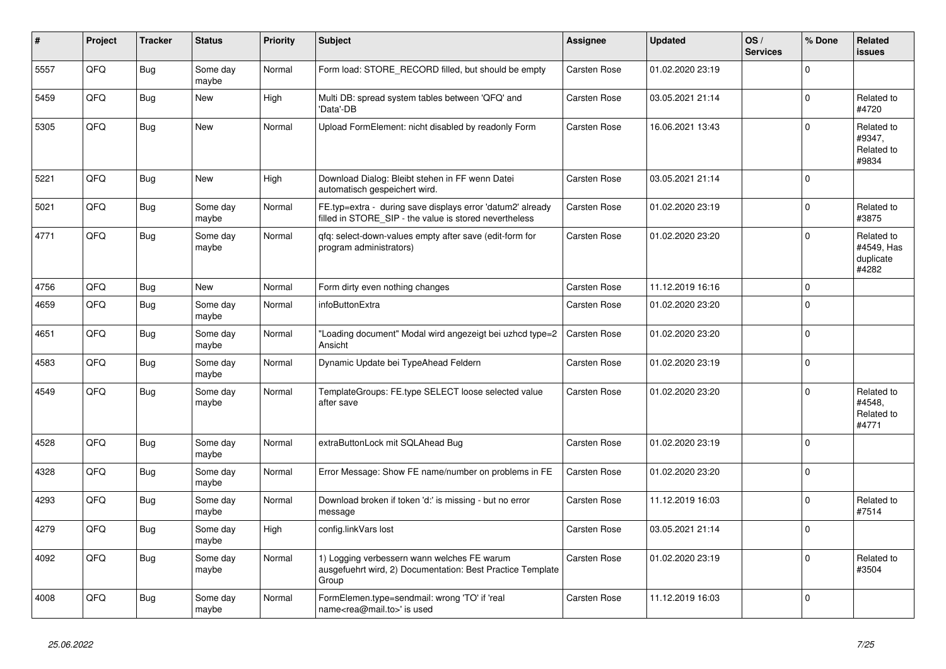| #    | Project | <b>Tracker</b> | <b>Status</b>     | <b>Priority</b> | <b>Subject</b>                                                                                                       | <b>Assignee</b>     | <b>Updated</b>   | OS/<br><b>Services</b> | % Done      | <b>Related</b><br><b>issues</b>                |
|------|---------|----------------|-------------------|-----------------|----------------------------------------------------------------------------------------------------------------------|---------------------|------------------|------------------------|-------------|------------------------------------------------|
| 5557 | QFQ     | Bug            | Some day<br>maybe | Normal          | Form load: STORE_RECORD filled, but should be empty                                                                  | Carsten Rose        | 01.02.2020 23:19 |                        | $\Omega$    |                                                |
| 5459 | QFQ     | Bug            | New               | High            | Multi DB: spread system tables between 'QFQ' and<br>'Data'-DB                                                        | Carsten Rose        | 03.05.2021 21:14 |                        | $\mathbf 0$ | Related to<br>#4720                            |
| 5305 | QFQ     | <b>Bug</b>     | New               | Normal          | Upload FormElement: nicht disabled by readonly Form                                                                  | Carsten Rose        | 16.06.2021 13:43 |                        | $\mathbf 0$ | Related to<br>#9347,<br>Related to<br>#9834    |
| 5221 | QFQ     | Bug            | New               | High            | Download Dialog: Bleibt stehen in FF wenn Datei<br>automatisch gespeichert wird.                                     | Carsten Rose        | 03.05.2021 21:14 |                        | $\mathbf 0$ |                                                |
| 5021 | QFQ     | <b>Bug</b>     | Some day<br>maybe | Normal          | FE.typ=extra - during save displays error 'datum2' already<br>filled in STORE SIP - the value is stored nevertheless | Carsten Rose        | 01.02.2020 23:19 |                        | $\mathsf 0$ | Related to<br>#3875                            |
| 4771 | QFQ     | Bug            | Some day<br>maybe | Normal          | gfg: select-down-values empty after save (edit-form for<br>program administrators)                                   | Carsten Rose        | 01.02.2020 23:20 |                        | $\Omega$    | Related to<br>#4549, Has<br>duplicate<br>#4282 |
| 4756 | QFQ     | <b>Bug</b>     | <b>New</b>        | Normal          | Form dirty even nothing changes                                                                                      | Carsten Rose        | 11.12.2019 16:16 |                        | $\mathbf 0$ |                                                |
| 4659 | QFQ     | Bug            | Some day<br>maybe | Normal          | infoButtonExtra                                                                                                      | Carsten Rose        | 01.02.2020 23:20 |                        | $\mathbf 0$ |                                                |
| 4651 | QFQ     | Bug            | Some day<br>maybe | Normal          | 'Loading document" Modal wird angezeigt bei uzhcd type=2<br>Ansicht                                                  | Carsten Rose        | 01.02.2020 23:20 |                        | $\mathsf 0$ |                                                |
| 4583 | QFQ     | <b>Bug</b>     | Some day<br>maybe | Normal          | Dynamic Update bei TypeAhead Feldern                                                                                 | Carsten Rose        | 01.02.2020 23:19 |                        | $\mathbf 0$ |                                                |
| 4549 | QFQ     | Bug            | Some day<br>maybe | Normal          | TemplateGroups: FE.type SELECT loose selected value<br>after save                                                    | <b>Carsten Rose</b> | 01.02.2020 23:20 |                        | $\mathbf 0$ | Related to<br>#4548.<br>Related to<br>#4771    |
| 4528 | QFQ     | <b>Bug</b>     | Some day<br>maybe | Normal          | extraButtonLock mit SQLAhead Bug                                                                                     | Carsten Rose        | 01.02.2020 23:19 |                        | $\mathbf 0$ |                                                |
| 4328 | QFQ     | <b>Bug</b>     | Some day<br>maybe | Normal          | Error Message: Show FE name/number on problems in FE                                                                 | Carsten Rose        | 01.02.2020 23:20 |                        | $\mathbf 0$ |                                                |
| 4293 | QFQ     | Bug            | Some day<br>maybe | Normal          | Download broken if token 'd:' is missing - but no error<br>message                                                   | Carsten Rose        | 11.12.2019 16:03 |                        | $\mathbf 0$ | Related to<br>#7514                            |
| 4279 | QFQ     | <b>Bug</b>     | Some day<br>maybe | High            | config.linkVars lost                                                                                                 | <b>Carsten Rose</b> | 03.05.2021 21:14 |                        | $\mathbf 0$ |                                                |
| 4092 | QFQ     | <b>Bug</b>     | Some day<br>maybe | Normal          | 1) Logging verbessern wann welches FE warum<br>ausgefuehrt wird, 2) Documentation: Best Practice Template<br>Group   | Carsten Rose        | 01.02.2020 23:19 |                        | $\Omega$    | Related to<br>#3504                            |
| 4008 | QFQ     | Bug            | Some day<br>maybe | Normal          | FormElemen.type=sendmail: wrong 'TO' if 'real<br>name <rea@mail.to>' is used</rea@mail.to>                           | Carsten Rose        | 11.12.2019 16:03 |                        | $\mathbf 0$ |                                                |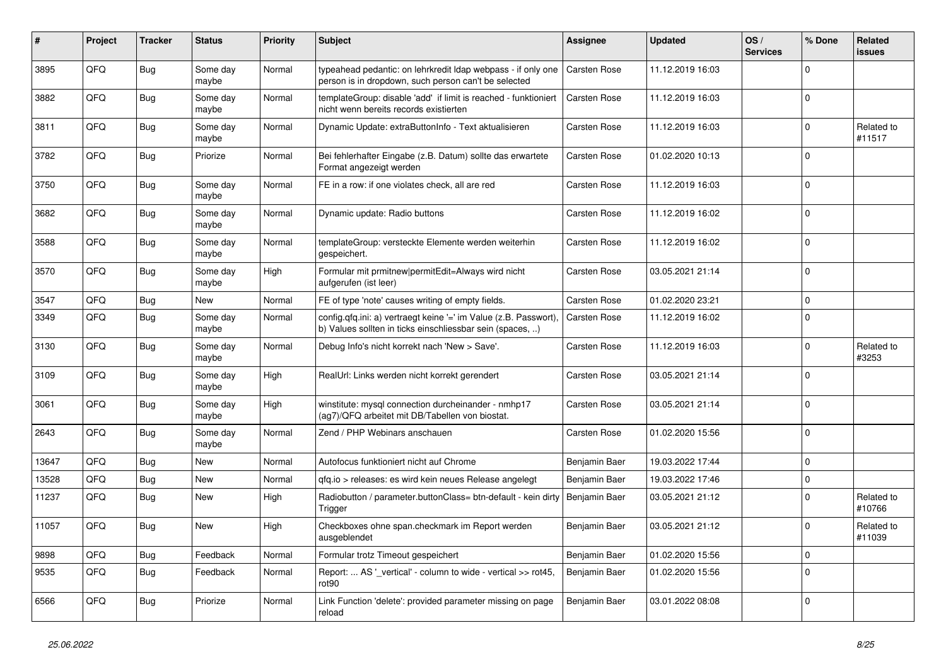| ∦     | Project | <b>Tracker</b> | <b>Status</b>     | <b>Priority</b> | <b>Subject</b>                                                                                                                | <b>Assignee</b> | <b>Updated</b>   | OS/<br><b>Services</b> | % Done      | Related<br><b>issues</b> |
|-------|---------|----------------|-------------------|-----------------|-------------------------------------------------------------------------------------------------------------------------------|-----------------|------------------|------------------------|-------------|--------------------------|
| 3895  | QFQ     | Bug            | Some day<br>maybe | Normal          | typeahead pedantic: on lehrkredit Idap webpass - if only one<br>person is in dropdown, such person can't be selected          | Carsten Rose    | 11.12.2019 16:03 |                        | $\mathbf 0$ |                          |
| 3882  | QFQ     | Bug            | Some day<br>maybe | Normal          | templateGroup: disable 'add' if limit is reached - funktioniert<br>nicht wenn bereits records existierten                     | Carsten Rose    | 11.12.2019 16:03 |                        | $\mathbf 0$ |                          |
| 3811  | QFQ     | <b>Bug</b>     | Some day<br>maybe | Normal          | Dynamic Update: extraButtonInfo - Text aktualisieren                                                                          | Carsten Rose    | 11.12.2019 16:03 |                        | $\mathbf 0$ | Related to<br>#11517     |
| 3782  | QFQ     | Bug            | Priorize          | Normal          | Bei fehlerhafter Eingabe (z.B. Datum) sollte das erwartete<br>Format angezeigt werden                                         | Carsten Rose    | 01.02.2020 10:13 |                        | $\mathbf 0$ |                          |
| 3750  | QFQ     | Bug            | Some day<br>maybe | Normal          | FE in a row: if one violates check, all are red                                                                               | Carsten Rose    | 11.12.2019 16:03 |                        | $\mathbf 0$ |                          |
| 3682  | QFQ     | Bug            | Some day<br>maybe | Normal          | Dynamic update: Radio buttons                                                                                                 | Carsten Rose    | 11.12.2019 16:02 |                        | $\mathbf 0$ |                          |
| 3588  | QFQ     | <b>Bug</b>     | Some day<br>maybe | Normal          | templateGroup: versteckte Elemente werden weiterhin<br>gespeichert.                                                           | Carsten Rose    | 11.12.2019 16:02 |                        | $\mathbf 0$ |                          |
| 3570  | QFQ     | <b>Bug</b>     | Some day<br>maybe | High            | Formular mit prmitnew permitEdit=Always wird nicht<br>aufgerufen (ist leer)                                                   | Carsten Rose    | 03.05.2021 21:14 |                        | $\mathbf 0$ |                          |
| 3547  | QFQ     | Bug            | New               | Normal          | FE of type 'note' causes writing of empty fields.                                                                             | Carsten Rose    | 01.02.2020 23:21 |                        | $\mathbf 0$ |                          |
| 3349  | QFQ     | Bug            | Some day<br>maybe | Normal          | config.qfq.ini: a) vertraegt keine '=' im Value (z.B. Passwort),<br>b) Values sollten in ticks einschliessbar sein (spaces, ) | Carsten Rose    | 11.12.2019 16:02 |                        | $\mathbf 0$ |                          |
| 3130  | QFQ     | Bug            | Some day<br>maybe | Normal          | Debug Info's nicht korrekt nach 'New > Save'.                                                                                 | Carsten Rose    | 11.12.2019 16:03 |                        | $\mathbf 0$ | Related to<br>#3253      |
| 3109  | QFQ     | Bug            | Some day<br>maybe | High            | RealUrl: Links werden nicht korrekt gerendert                                                                                 | Carsten Rose    | 03.05.2021 21:14 |                        | $\mathbf 0$ |                          |
| 3061  | QFQ     | Bug            | Some day<br>maybe | High            | winstitute: mysql connection durcheinander - nmhp17<br>(ag7)/QFQ arbeitet mit DB/Tabellen von biostat.                        | Carsten Rose    | 03.05.2021 21:14 |                        | $\mathbf 0$ |                          |
| 2643  | QFQ     | <b>Bug</b>     | Some day<br>maybe | Normal          | Zend / PHP Webinars anschauen                                                                                                 | Carsten Rose    | 01.02.2020 15:56 |                        | $\mathbf 0$ |                          |
| 13647 | QFQ     | <b>Bug</b>     | New               | Normal          | Autofocus funktioniert nicht auf Chrome                                                                                       | Benjamin Baer   | 19.03.2022 17:44 |                        | $\mathbf 0$ |                          |
| 13528 | QFQ     | Bug            | New               | Normal          | qfq.io > releases: es wird kein neues Release angelegt                                                                        | Benjamin Baer   | 19.03.2022 17:46 |                        | $\mathbf 0$ |                          |
| 11237 | QFQ     | Bug            | New               | High            | Radiobutton / parameter.buttonClass= btn-default - kein dirty<br>Trigger                                                      | Benjamin Baer   | 03.05.2021 21:12 |                        | $\mathbf 0$ | Related to<br>#10766     |
| 11057 | QFQ     | Bug            | <b>New</b>        | High            | Checkboxes ohne span.checkmark im Report werden<br>ausgeblendet                                                               | Benjamin Baer   | 03.05.2021 21:12 |                        | $\mathbf 0$ | Related to<br> #11039    |
| 9898  | QFQ     | Bug            | Feedback          | Normal          | Formular trotz Timeout gespeichert                                                                                            | Benjamin Baer   | 01.02.2020 15:56 |                        | $\mathbf 0$ |                          |
| 9535  | QFQ     | <b>Bug</b>     | Feedback          | Normal          | Report:  AS '_vertical' - column to wide - vertical >> rot45,<br>rot90                                                        | Benjamin Baer   | 01.02.2020 15:56 |                        | $\mathbf 0$ |                          |
| 6566  | QFQ     | <b>Bug</b>     | Priorize          | Normal          | Link Function 'delete': provided parameter missing on page<br>reload                                                          | Benjamin Baer   | 03.01.2022 08:08 |                        | $\mathsf 0$ |                          |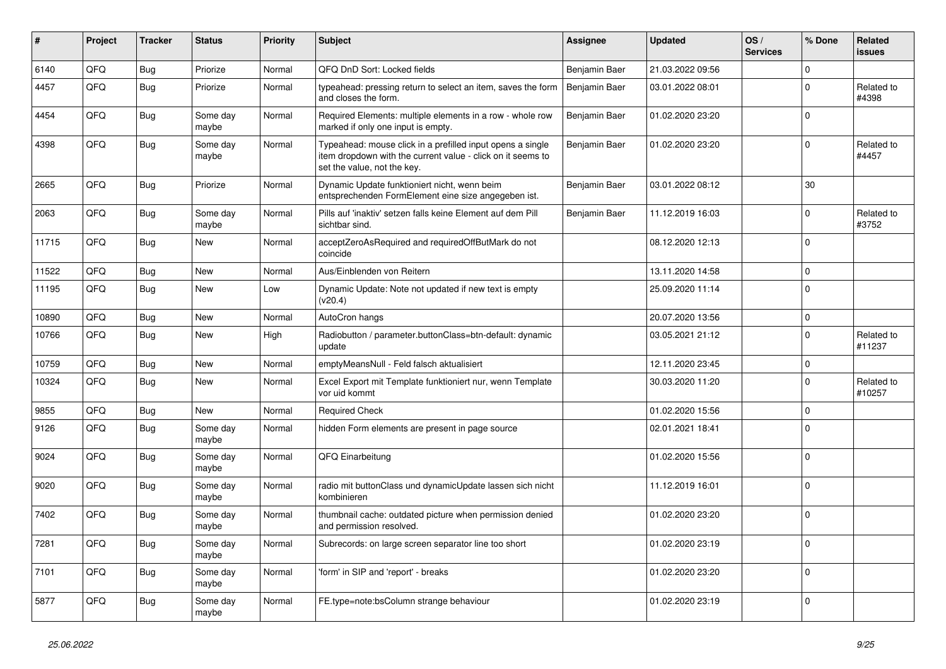| #     | Project | <b>Tracker</b> | <b>Status</b>     | <b>Priority</b> | <b>Subject</b>                                                                                                                                           | <b>Assignee</b> | <b>Updated</b>   | OS/<br><b>Services</b> | % Done      | Related<br><b>issues</b> |
|-------|---------|----------------|-------------------|-----------------|----------------------------------------------------------------------------------------------------------------------------------------------------------|-----------------|------------------|------------------------|-------------|--------------------------|
| 6140  | QFQ     | Bug            | Priorize          | Normal          | QFQ DnD Sort: Locked fields                                                                                                                              | Benjamin Baer   | 21.03.2022 09:56 |                        | $\mathbf 0$ |                          |
| 4457  | QFQ     | Bug            | Priorize          | Normal          | typeahead: pressing return to select an item, saves the form<br>and closes the form.                                                                     | Benjamin Baer   | 03.01.2022 08:01 |                        | $\mathbf 0$ | Related to<br>#4398      |
| 4454  | QFQ     | <b>Bug</b>     | Some day<br>maybe | Normal          | Required Elements: multiple elements in a row - whole row<br>marked if only one input is empty.                                                          | Benjamin Baer   | 01.02.2020 23:20 |                        | $\Omega$    |                          |
| 4398  | QFQ     | Bug            | Some day<br>maybe | Normal          | Typeahead: mouse click in a prefilled input opens a single<br>item dropdown with the current value - click on it seems to<br>set the value, not the key. | Benjamin Baer   | 01.02.2020 23:20 |                        | $\Omega$    | Related to<br>#4457      |
| 2665  | QFQ     | Bug            | Priorize          | Normal          | Dynamic Update funktioniert nicht, wenn beim<br>entsprechenden FormElement eine size angegeben ist.                                                      | Benjamin Baer   | 03.01.2022 08:12 |                        | 30          |                          |
| 2063  | QFQ     | Bug            | Some day<br>maybe | Normal          | Pills auf 'inaktiv' setzen falls keine Element auf dem Pill<br>sichtbar sind.                                                                            | Benjamin Baer   | 11.12.2019 16:03 |                        | $\mathbf 0$ | Related to<br>#3752      |
| 11715 | QFQ     | Bug            | <b>New</b>        | Normal          | acceptZeroAsRequired and requiredOffButMark do not<br>coincide                                                                                           |                 | 08.12.2020 12:13 |                        | $\Omega$    |                          |
| 11522 | QFQ     | <b>Bug</b>     | <b>New</b>        | Normal          | Aus/Einblenden von Reitern                                                                                                                               |                 | 13.11.2020 14:58 |                        | $\mathbf 0$ |                          |
| 11195 | QFQ     | <b>Bug</b>     | <b>New</b>        | Low             | Dynamic Update: Note not updated if new text is empty<br>(v20.4)                                                                                         |                 | 25.09.2020 11:14 |                        | $\Omega$    |                          |
| 10890 | QFQ     | Bug            | <b>New</b>        | Normal          | AutoCron hangs                                                                                                                                           |                 | 20.07.2020 13:56 |                        | $\mathbf 0$ |                          |
| 10766 | QFQ     | Bug            | <b>New</b>        | High            | Radiobutton / parameter.buttonClass=btn-default: dynamic<br>update                                                                                       |                 | 03.05.2021 21:12 |                        | $\Omega$    | Related to<br>#11237     |
| 10759 | QFQ     | Bug            | <b>New</b>        | Normal          | emptyMeansNull - Feld falsch aktualisiert                                                                                                                |                 | 12.11.2020 23:45 |                        | $\mathbf 0$ |                          |
| 10324 | QFQ     | Bug            | <b>New</b>        | Normal          | Excel Export mit Template funktioniert nur, wenn Template<br>vor uid kommt                                                                               |                 | 30.03.2020 11:20 |                        | $\mathbf 0$ | Related to<br>#10257     |
| 9855  | QFQ     | Bug            | <b>New</b>        | Normal          | <b>Required Check</b>                                                                                                                                    |                 | 01.02.2020 15:56 |                        | $\mathbf 0$ |                          |
| 9126  | QFQ     | <b>Bug</b>     | Some day<br>maybe | Normal          | hidden Form elements are present in page source                                                                                                          |                 | 02.01.2021 18:41 |                        | $\Omega$    |                          |
| 9024  | QFQ     | Bug            | Some day<br>maybe | Normal          | QFQ Einarbeitung                                                                                                                                         |                 | 01.02.2020 15:56 |                        | $\Omega$    |                          |
| 9020  | QFQ     | Bug            | Some day<br>maybe | Normal          | radio mit buttonClass und dynamicUpdate lassen sich nicht<br>kombinieren                                                                                 |                 | 11.12.2019 16:01 |                        | $\Omega$    |                          |
| 7402  | QFQ     | <b>Bug</b>     | Some day<br>maybe | Normal          | thumbnail cache: outdated picture when permission denied<br>and permission resolved.                                                                     |                 | 01.02.2020 23:20 |                        | $\mathbf 0$ |                          |
| 7281  | QFQ     | Bug            | Some day<br>maybe | Normal          | Subrecords: on large screen separator line too short                                                                                                     |                 | 01.02.2020 23:19 |                        | $\mathbf 0$ |                          |
| 7101  | QFQ     | Bug            | Some day<br>maybe | Normal          | 'form' in SIP and 'report' - breaks                                                                                                                      |                 | 01.02.2020 23:20 |                        | $\Omega$    |                          |
| 5877  | QFQ     | <b>Bug</b>     | Some day<br>maybe | Normal          | FE.type=note:bsColumn strange behaviour                                                                                                                  |                 | 01.02.2020 23:19 |                        | $\mathbf 0$ |                          |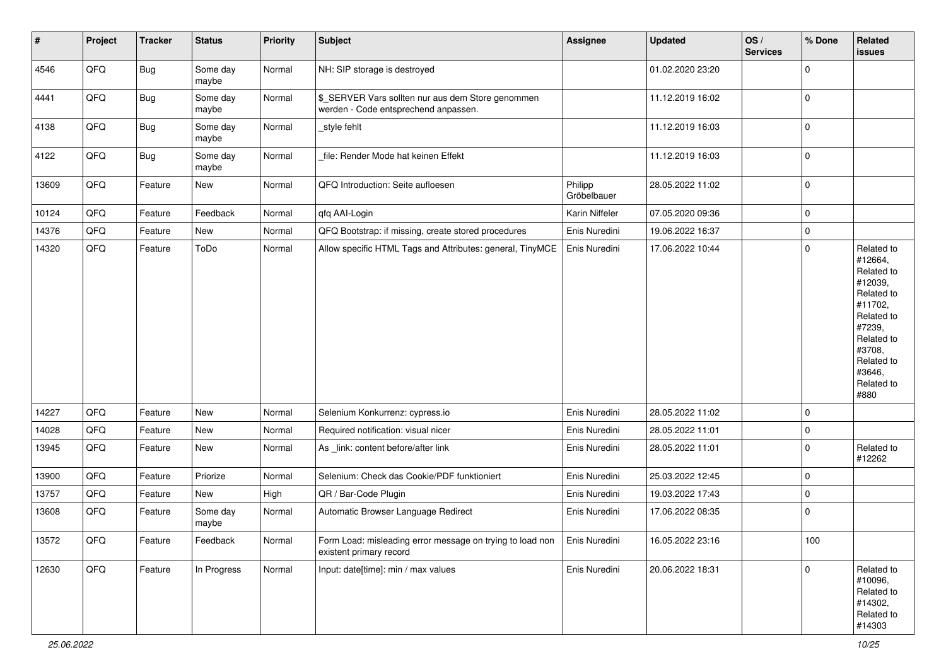| #     | Project | <b>Tracker</b> | <b>Status</b>     | <b>Priority</b> | <b>Subject</b>                                                                            | Assignee               | <b>Updated</b>   | OS/<br><b>Services</b> | % Done      | Related<br>issues                                                                                                                                                     |
|-------|---------|----------------|-------------------|-----------------|-------------------------------------------------------------------------------------------|------------------------|------------------|------------------------|-------------|-----------------------------------------------------------------------------------------------------------------------------------------------------------------------|
| 4546  | QFQ     | Bug            | Some day<br>maybe | Normal          | NH: SIP storage is destroyed                                                              |                        | 01.02.2020 23:20 |                        | $\pmb{0}$   |                                                                                                                                                                       |
| 4441  | QFQ     | <b>Bug</b>     | Some day<br>maybe | Normal          | \$_SERVER Vars sollten nur aus dem Store genommen<br>werden - Code entsprechend anpassen. |                        | 11.12.2019 16:02 |                        | $\pmb{0}$   |                                                                                                                                                                       |
| 4138  | QFQ     | <b>Bug</b>     | Some day<br>maybe | Normal          | _style fehlt                                                                              |                        | 11.12.2019 16:03 |                        | $\pmb{0}$   |                                                                                                                                                                       |
| 4122  | QFQ     | <b>Bug</b>     | Some day<br>maybe | Normal          | file: Render Mode hat keinen Effekt                                                       |                        | 11.12.2019 16:03 |                        | $\pmb{0}$   |                                                                                                                                                                       |
| 13609 | QFQ     | Feature        | New               | Normal          | QFQ Introduction: Seite aufloesen                                                         | Philipp<br>Gröbelbauer | 28.05.2022 11:02 |                        | $\pmb{0}$   |                                                                                                                                                                       |
| 10124 | QFQ     | Feature        | Feedback          | Normal          | qfq AAI-Login                                                                             | Karin Niffeler         | 07.05.2020 09:36 |                        | $\mathbf 0$ |                                                                                                                                                                       |
| 14376 | QFQ     | Feature        | New               | Normal          | QFQ Bootstrap: if missing, create stored procedures                                       | Enis Nuredini          | 19.06.2022 16:37 |                        | $\pmb{0}$   |                                                                                                                                                                       |
| 14320 | QFQ     | Feature        | ToDo              | Normal          | Allow specific HTML Tags and Attributes: general, TinyMCE                                 | Enis Nuredini          | 17.06.2022 10:44 |                        | $\pmb{0}$   | Related to<br>#12664,<br>Related to<br>#12039,<br>Related to<br>#11702,<br>Related to<br>#7239,<br>Related to<br>#3708,<br>Related to<br>#3646,<br>Related to<br>#880 |
| 14227 | QFQ     | Feature        | New               | Normal          | Selenium Konkurrenz: cypress.io                                                           | Enis Nuredini          | 28.05.2022 11:02 |                        | $\pmb{0}$   |                                                                                                                                                                       |
| 14028 | QFQ     | Feature        | New               | Normal          | Required notification: visual nicer                                                       | Enis Nuredini          | 28.05.2022 11:01 |                        | $\pmb{0}$   |                                                                                                                                                                       |
| 13945 | QFQ     | Feature        | New               | Normal          | As _link: content before/after link                                                       | Enis Nuredini          | 28.05.2022 11:01 |                        | $\pmb{0}$   | Related to<br>#12262                                                                                                                                                  |
| 13900 | QFQ     | Feature        | Priorize          | Normal          | Selenium: Check das Cookie/PDF funktioniert                                               | Enis Nuredini          | 25.03.2022 12:45 |                        | $\pmb{0}$   |                                                                                                                                                                       |
| 13757 | QFQ     | Feature        | New               | High            | QR / Bar-Code Plugin                                                                      | Enis Nuredini          | 19.03.2022 17:43 |                        | $\pmb{0}$   |                                                                                                                                                                       |
| 13608 | QFQ     | Feature        | Some day<br>maybe | Normal          | Automatic Browser Language Redirect                                                       | Enis Nuredini          | 17.06.2022 08:35 |                        | $\pmb{0}$   |                                                                                                                                                                       |
| 13572 | QFQ     | Feature        | Feedback          | Normal          | Form Load: misleading error message on trying to load non<br>existent primary record      | Enis Nuredini          | 16.05.2022 23:16 |                        | 100         |                                                                                                                                                                       |
| 12630 | QFQ     | Feature        | In Progress       | Normal          | Input: date[time]: min / max values                                                       | Enis Nuredini          | 20.06.2022 18:31 |                        | $\pmb{0}$   | Related to<br>#10096,<br>Related to<br>#14302,<br>Related to<br>#14303                                                                                                |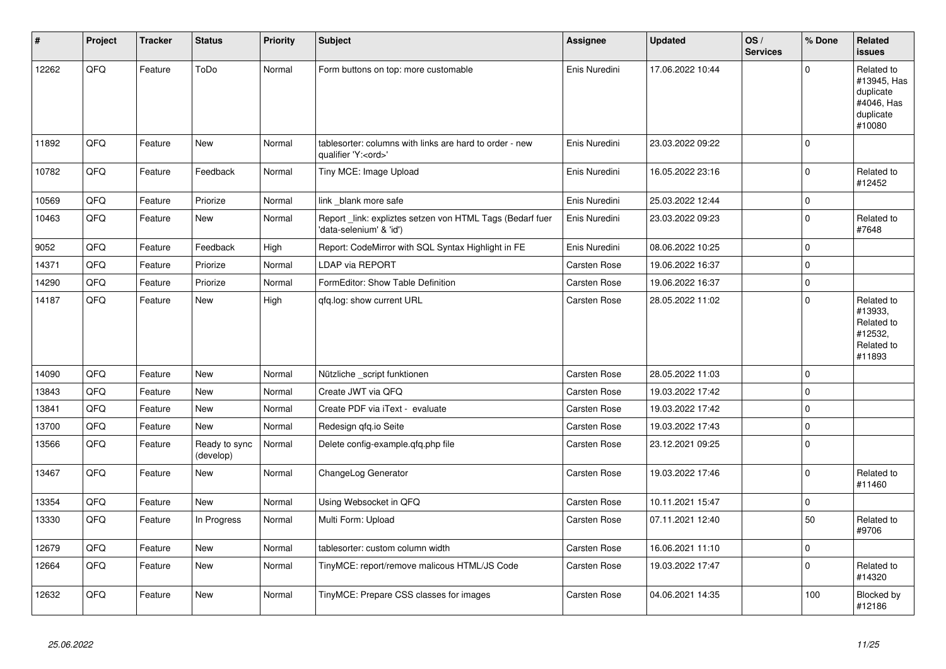| #     | Project | <b>Tracker</b> | <b>Status</b>              | <b>Priority</b> | <b>Subject</b>                                                                        | <b>Assignee</b> | <b>Updated</b>   | OS/<br><b>Services</b> | % Done      | Related<br><b>issues</b>                                                    |
|-------|---------|----------------|----------------------------|-----------------|---------------------------------------------------------------------------------------|-----------------|------------------|------------------------|-------------|-----------------------------------------------------------------------------|
| 12262 | QFQ     | Feature        | ToDo                       | Normal          | Form buttons on top: more customable                                                  | Enis Nuredini   | 17.06.2022 10:44 |                        | $\mathbf 0$ | Related to<br>#13945, Has<br>duplicate<br>#4046, Has<br>duplicate<br>#10080 |
| 11892 | QFQ     | Feature        | New                        | Normal          | tablesorter: columns with links are hard to order - new<br>qualifier 'Y: <ord>'</ord> | Enis Nuredini   | 23.03.2022 09:22 |                        | $\mathbf 0$ |                                                                             |
| 10782 | QFQ     | Feature        | Feedback                   | Normal          | Tiny MCE: Image Upload                                                                | Enis Nuredini   | 16.05.2022 23:16 |                        | $\mathbf 0$ | Related to<br>#12452                                                        |
| 10569 | QFQ     | Feature        | Priorize                   | Normal          | link blank more safe                                                                  | Enis Nuredini   | 25.03.2022 12:44 |                        | $\mathbf 0$ |                                                                             |
| 10463 | QFQ     | Feature        | New                        | Normal          | Report link: expliztes setzen von HTML Tags (Bedarf fuer<br>'data-selenium' & 'id')   | Enis Nuredini   | 23.03.2022 09:23 |                        | $\mathbf 0$ | Related to<br>#7648                                                         |
| 9052  | QFQ     | Feature        | Feedback                   | High            | Report: CodeMirror with SQL Syntax Highlight in FE                                    | Enis Nuredini   | 08.06.2022 10:25 |                        | $\mathbf 0$ |                                                                             |
| 14371 | QFQ     | Feature        | Priorize                   | Normal          | LDAP via REPORT                                                                       | Carsten Rose    | 19.06.2022 16:37 |                        | $\pmb{0}$   |                                                                             |
| 14290 | QFQ     | Feature        | Priorize                   | Normal          | FormEditor: Show Table Definition                                                     | Carsten Rose    | 19.06.2022 16:37 |                        | $\pmb{0}$   |                                                                             |
| 14187 | QFQ     | Feature        | <b>New</b>                 | High            | qfq.log: show current URL                                                             | Carsten Rose    | 28.05.2022 11:02 |                        | $\mathbf 0$ | Related to<br>#13933,<br>Related to<br>#12532,<br>Related to<br>#11893      |
| 14090 | QFQ     | Feature        | <b>New</b>                 | Normal          | Nützliche _script funktionen                                                          | Carsten Rose    | 28.05.2022 11:03 |                        | $\mathbf 0$ |                                                                             |
| 13843 | QFQ     | Feature        | New                        | Normal          | Create JWT via QFQ                                                                    | Carsten Rose    | 19.03.2022 17:42 |                        | $\pmb{0}$   |                                                                             |
| 13841 | QFQ     | Feature        | <b>New</b>                 | Normal          | Create PDF via iText - evaluate                                                       | Carsten Rose    | 19.03.2022 17:42 |                        | $\pmb{0}$   |                                                                             |
| 13700 | QFQ     | Feature        | New                        | Normal          | Redesign gfg.io Seite                                                                 | Carsten Rose    | 19.03.2022 17:43 |                        | $\pmb{0}$   |                                                                             |
| 13566 | QFQ     | Feature        | Ready to sync<br>(develop) | Normal          | Delete config-example.qfq.php file                                                    | Carsten Rose    | 23.12.2021 09:25 |                        | $\pmb{0}$   |                                                                             |
| 13467 | QFQ     | Feature        | New                        | Normal          | ChangeLog Generator                                                                   | Carsten Rose    | 19.03.2022 17:46 |                        | $\mathbf 0$ | Related to<br>#11460                                                        |
| 13354 | QFQ     | Feature        | <b>New</b>                 | Normal          | Using Websocket in QFQ                                                                | Carsten Rose    | 10.11.2021 15:47 |                        | $\pmb{0}$   |                                                                             |
| 13330 | QFQ     | Feature        | In Progress                | Normal          | Multi Form: Upload                                                                    | Carsten Rose    | 07.11.2021 12:40 |                        | 50          | Related to<br>#9706                                                         |
| 12679 | QFQ     | Feature        | <b>New</b>                 | Normal          | tablesorter: custom column width                                                      | Carsten Rose    | 16.06.2021 11:10 |                        | $\pmb{0}$   |                                                                             |
| 12664 | QFQ     | Feature        | <b>New</b>                 | Normal          | TinyMCE: report/remove malicous HTML/JS Code                                          | Carsten Rose    | 19.03.2022 17:47 |                        | $\mathbf 0$ | Related to<br>#14320                                                        |
| 12632 | QFQ     | Feature        | New                        | Normal          | TinyMCE: Prepare CSS classes for images                                               | Carsten Rose    | 04.06.2021 14:35 |                        | 100         | Blocked by<br>#12186                                                        |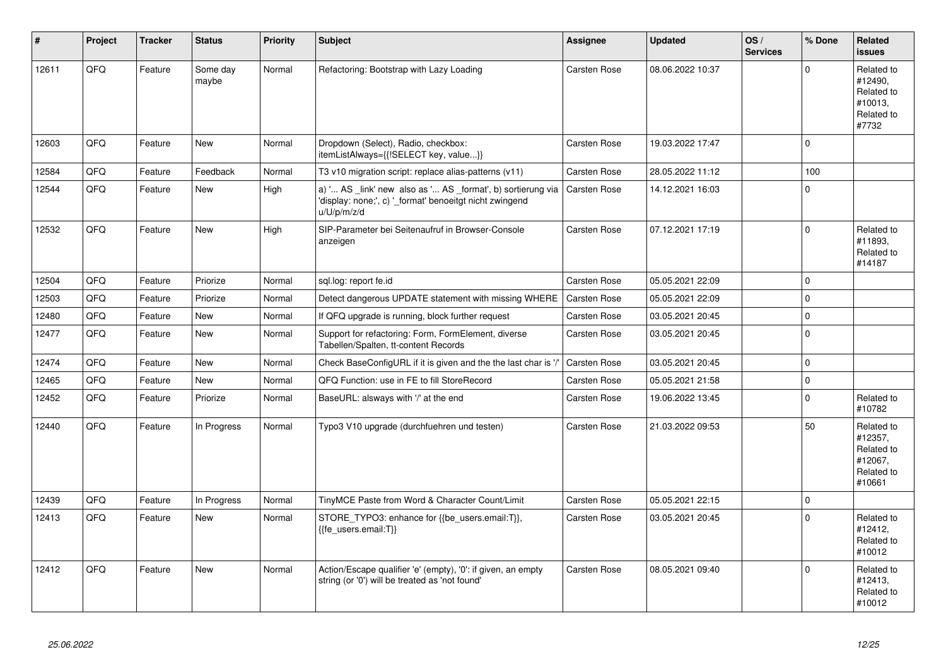| #     | Project | <b>Tracker</b> | <b>Status</b>     | <b>Priority</b> | <b>Subject</b>                                                                                                                        | <b>Assignee</b>     | <b>Updated</b>   | OS/<br><b>Services</b> | % Done              | Related<br><b>issues</b>                                               |
|-------|---------|----------------|-------------------|-----------------|---------------------------------------------------------------------------------------------------------------------------------------|---------------------|------------------|------------------------|---------------------|------------------------------------------------------------------------|
| 12611 | QFQ     | Feature        | Some day<br>maybe | Normal          | Refactoring: Bootstrap with Lazy Loading                                                                                              | Carsten Rose        | 08.06.2022 10:37 |                        | $\mathbf 0$         | Related to<br>#12490.<br>Related to<br>#10013.<br>Related to<br>#7732  |
| 12603 | QFQ     | Feature        | New               | Normal          | Dropdown (Select), Radio, checkbox:<br>itemListAlways={{!SELECT key, value}}                                                          | Carsten Rose        | 19.03.2022 17:47 |                        | $\pmb{0}$           |                                                                        |
| 12584 | QFQ     | Feature        | Feedback          | Normal          | T3 v10 migration script: replace alias-patterns (v11)                                                                                 | Carsten Rose        | 28.05.2022 11:12 |                        | 100                 |                                                                        |
| 12544 | QFQ     | Feature        | New               | High            | a) ' AS _link' new also as ' AS _format', b) sortierung via<br>'display: none;', c) '_format' benoeitgt nicht zwingend<br>u/U/p/m/z/d | <b>Carsten Rose</b> | 14.12.2021 16:03 |                        | $\mathbf 0$         |                                                                        |
| 12532 | QFQ     | Feature        | <b>New</b>        | High            | SIP-Parameter bei Seitenaufruf in Browser-Console<br>anzeigen                                                                         | Carsten Rose        | 07.12.2021 17:19 |                        | $\mathbf 0$         | Related to<br>#11893,<br>Related to<br>#14187                          |
| 12504 | QFQ     | Feature        | Priorize          | Normal          | sql.log: report fe.id                                                                                                                 | Carsten Rose        | 05.05.2021 22:09 |                        | $\mathbf 0$         |                                                                        |
| 12503 | QFQ     | Feature        | Priorize          | Normal          | Detect dangerous UPDATE statement with missing WHERE                                                                                  | <b>Carsten Rose</b> | 05.05.2021 22:09 |                        | $\mathbf 0$         |                                                                        |
| 12480 | QFQ     | Feature        | New               | Normal          | If QFQ upgrade is running, block further request                                                                                      | Carsten Rose        | 03.05.2021 20:45 |                        | $\pmb{0}$           |                                                                        |
| 12477 | QFQ     | Feature        | New               | Normal          | Support for refactoring: Form, FormElement, diverse<br>Tabellen/Spalten, tt-content Records                                           | Carsten Rose        | 03.05.2021 20:45 |                        | $\mathbf 0$         |                                                                        |
| 12474 | QFQ     | Feature        | New               | Normal          | Check BaseConfigURL if it is given and the the last char is '/'                                                                       | <b>Carsten Rose</b> | 03.05.2021 20:45 |                        | $\mathbf 0$         |                                                                        |
| 12465 | QFQ     | Feature        | New               | Normal          | QFQ Function: use in FE to fill StoreRecord                                                                                           | Carsten Rose        | 05.05.2021 21:58 |                        | $\pmb{0}$           |                                                                        |
| 12452 | QFQ     | Feature        | Priorize          | Normal          | BaseURL: alsways with '/' at the end                                                                                                  | Carsten Rose        | 19.06.2022 13:45 |                        | $\mathbf 0$         | Related to<br>#10782                                                   |
| 12440 | QFQ     | Feature        | In Progress       | Normal          | Typo3 V10 upgrade (durchfuehren und testen)                                                                                           | Carsten Rose        | 21.03.2022 09:53 |                        | 50                  | Related to<br>#12357,<br>Related to<br>#12067.<br>Related to<br>#10661 |
| 12439 | QFQ     | Feature        | In Progress       | Normal          | TinyMCE Paste from Word & Character Count/Limit                                                                                       | Carsten Rose        | 05.05.2021 22:15 |                        | $\mathsf{O}\xspace$ |                                                                        |
| 12413 | QFQ     | Feature        | <b>New</b>        | Normal          | STORE_TYPO3: enhance for {{be_users.email:T}},<br>{{fe users.email:T}}                                                                | Carsten Rose        | 03.05.2021 20:45 |                        | $\Omega$            | Related to<br>#12412,<br>Related to<br>#10012                          |
| 12412 | QFQ     | Feature        | <b>New</b>        | Normal          | Action/Escape qualifier 'e' (empty), '0': if given, an empty<br>string (or '0') will be treated as 'not found'                        | <b>Carsten Rose</b> | 08.05.2021 09:40 |                        | $\Omega$            | Related to<br>#12413,<br>Related to<br>#10012                          |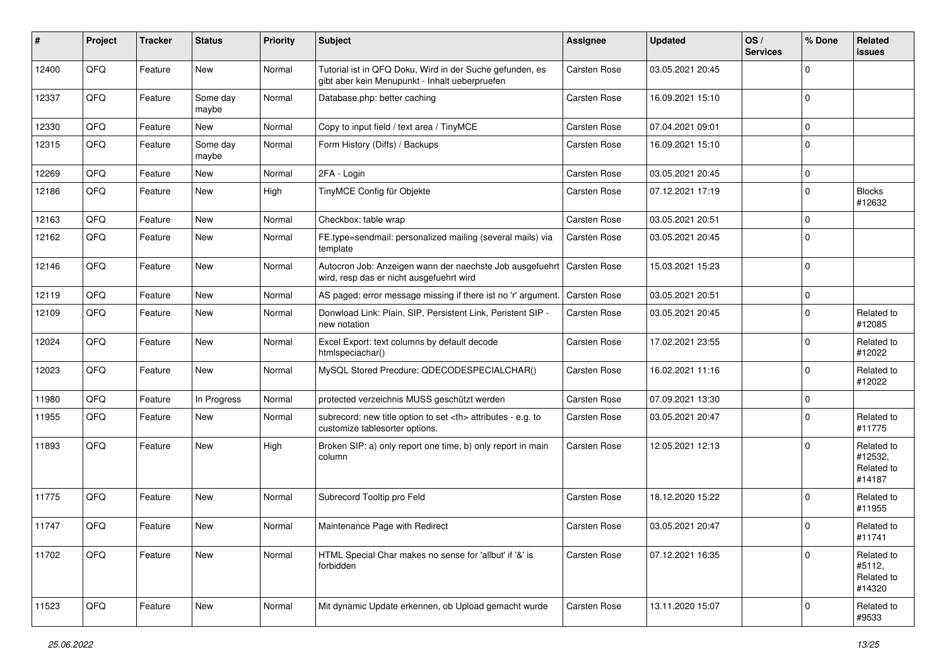| #     | Project | <b>Tracker</b> | <b>Status</b>     | <b>Priority</b> | <b>Subject</b>                                                                                             | <b>Assignee</b>                                        | <b>Updated</b>   | OS/<br><b>Services</b> | % Done   | <b>Related</b><br><b>issues</b>               |                      |
|-------|---------|----------------|-------------------|-----------------|------------------------------------------------------------------------------------------------------------|--------------------------------------------------------|------------------|------------------------|----------|-----------------------------------------------|----------------------|
| 12400 | QFQ     | Feature        | New               | Normal          | Tutorial ist in QFQ Doku, Wird in der Suche gefunden, es<br>gibt aber kein Menupunkt - Inhalt ueberpruefen | <b>Carsten Rose</b>                                    | 03.05.2021 20:45 |                        | $\Omega$ |                                               |                      |
| 12337 | QFQ     | Feature        | Some day<br>maybe | Normal          | Database.php: better caching                                                                               | <b>Carsten Rose</b>                                    | 16.09.2021 15:10 |                        | $\Omega$ |                                               |                      |
| 12330 | QFQ     | Feature        | New               | Normal          | Copy to input field / text area / TinyMCE                                                                  | Carsten Rose                                           | 07.04.2021 09:01 |                        | $\Omega$ |                                               |                      |
| 12315 | QFQ     | Feature        | Some day<br>maybe | Normal          | Form History (Diffs) / Backups                                                                             | Carsten Rose                                           | 16.09.2021 15:10 |                        | $\Omega$ |                                               |                      |
| 12269 | QFQ     | Feature        | New               | Normal          | 2FA - Login                                                                                                | Carsten Rose                                           | 03.05.2021 20:45 |                        | $\Omega$ |                                               |                      |
| 12186 | QFQ     | Feature        | New               | High            | TinyMCE Config für Objekte                                                                                 | Carsten Rose                                           | 07.12.2021 17:19 |                        | $\Omega$ | <b>Blocks</b><br>#12632                       |                      |
| 12163 | QFQ     | Feature        | New               | Normal          | Checkbox: table wrap                                                                                       | Carsten Rose                                           | 03.05.2021 20:51 |                        | $\Omega$ |                                               |                      |
| 12162 | QFQ     | Feature        | New               | Normal          | FE.type=sendmail: personalized mailing (several mails) via<br>template                                     | Carsten Rose                                           | 03.05.2021 20:45 |                        | $\Omega$ |                                               |                      |
| 12146 | QFQ     | Feature        | New               | Normal          | Autocron Job: Anzeigen wann der naechste Job ausgefuehrt<br>wird, resp das er nicht ausgefuehrt wird       | Carsten Rose                                           | 15.03.2021 15:23 |                        | $\Omega$ |                                               |                      |
| 12119 | QFQ     | Feature        | <b>New</b>        | Normal          | AS paged: error message missing if there ist no 'r' argument.                                              | Carsten Rose                                           | 03.05.2021 20:51 |                        | $\Omega$ |                                               |                      |
| 12109 | QFQ     | Feature        | New               | Normal          | Donwload Link: Plain, SIP, Persistent Link, Peristent SIP -<br>new notation                                | Carsten Rose                                           | 03.05.2021 20:45 |                        | $\Omega$ | Related to<br>#12085                          |                      |
| 12024 | QFQ     | Feature        | New               | Normal          | Excel Export: text columns by default decode<br>htmlspeciachar()                                           | Carsten Rose                                           | 17.02.2021 23:55 |                        | $\Omega$ | Related to<br>#12022                          |                      |
| 12023 | QFQ     | Feature        | New               | Normal          | MySQL Stored Precdure: QDECODESPECIALCHAR()                                                                | Carsten Rose                                           | 16.02.2021 11:16 |                        | $\Omega$ | Related to<br>#12022                          |                      |
| 11980 | QFQ     | Feature        | In Progress       | Normal          | protected verzeichnis MUSS geschützt werden                                                                | Carsten Rose                                           | 07.09.2021 13:30 |                        | $\Omega$ |                                               |                      |
| 11955 | QFQ     | Feature        | New               | Normal          | subrecord: new title option to set <th> attributes - e.g. to<br/>customize tablesorter options.</th>       | attributes - e.g. to<br>customize tablesorter options. | Carsten Rose     | 03.05.2021 20:47       |          | $\Omega$                                      | Related to<br>#11775 |
| 11893 | QFQ     | Feature        | New               | High            | Broken SIP: a) only report one time, b) only report in main<br>column                                      | <b>Carsten Rose</b>                                    | 12.05.2021 12:13 |                        | $\Omega$ | Related to<br>#12532,<br>Related to<br>#14187 |                      |
| 11775 | QFQ     | Feature        | New               | Normal          | Subrecord Tooltip pro Feld                                                                                 | <b>Carsten Rose</b>                                    | 18.12.2020 15:22 |                        | $\Omega$ | Related to<br>#11955                          |                      |
| 11747 | QFQ     | Feature        | New               | Normal          | Maintenance Page with Redirect                                                                             | Carsten Rose                                           | 03.05.2021 20:47 |                        | $\Omega$ | Related to<br>#11741                          |                      |
| 11702 | QFQ     | Feature        | New               | Normal          | HTML Special Char makes no sense for 'allbut' if '&' is<br>forbidden                                       | Carsten Rose                                           | 07.12.2021 16:35 |                        | $\Omega$ | Related to<br>#5112,<br>Related to<br>#14320  |                      |
| 11523 | QFQ     | Feature        | New               | Normal          | Mit dynamic Update erkennen, ob Upload gemacht wurde                                                       | Carsten Rose                                           | 13.11.2020 15:07 |                        | 0        | Related to<br>#9533                           |                      |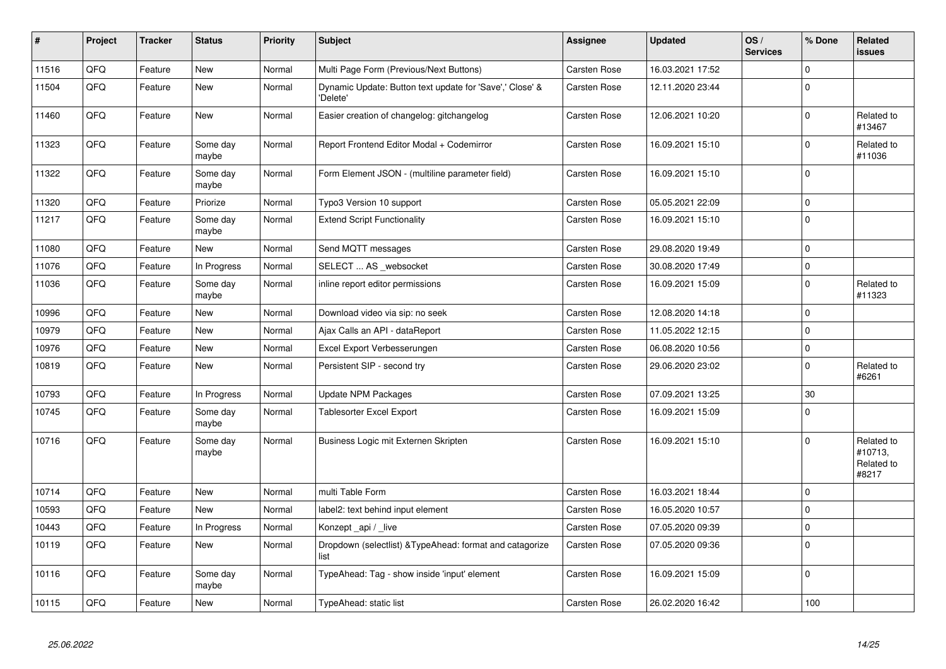| #     | Project | <b>Tracker</b> | <b>Status</b>     | <b>Priority</b> | <b>Subject</b>                                                       | Assignee            | <b>Updated</b>   | OS/<br><b>Services</b> | % Done      | Related<br><b>issues</b>                     |
|-------|---------|----------------|-------------------|-----------------|----------------------------------------------------------------------|---------------------|------------------|------------------------|-------------|----------------------------------------------|
| 11516 | QFQ     | Feature        | <b>New</b>        | Normal          | Multi Page Form (Previous/Next Buttons)                              | Carsten Rose        | 16.03.2021 17:52 |                        | $\Omega$    |                                              |
| 11504 | QFQ     | Feature        | New               | Normal          | Dynamic Update: Button text update for 'Save',' Close' &<br>'Delete' | Carsten Rose        | 12.11.2020 23:44 |                        | $\Omega$    |                                              |
| 11460 | QFQ     | Feature        | <b>New</b>        | Normal          | Easier creation of changelog: gitchangelog                           | Carsten Rose        | 12.06.2021 10:20 |                        | $\mathbf 0$ | Related to<br>#13467                         |
| 11323 | QFQ     | Feature        | Some day<br>maybe | Normal          | Report Frontend Editor Modal + Codemirror                            | Carsten Rose        | 16.09.2021 15:10 |                        | $\mathbf 0$ | Related to<br>#11036                         |
| 11322 | QFQ     | Feature        | Some day<br>maybe | Normal          | Form Element JSON - (multiline parameter field)                      | Carsten Rose        | 16.09.2021 15:10 |                        | $\mathbf 0$ |                                              |
| 11320 | QFQ     | Feature        | Priorize          | Normal          | Typo3 Version 10 support                                             | Carsten Rose        | 05.05.2021 22:09 |                        | $\mathbf 0$ |                                              |
| 11217 | QFQ     | Feature        | Some day<br>maybe | Normal          | <b>Extend Script Functionality</b>                                   | Carsten Rose        | 16.09.2021 15:10 |                        | $\mathbf 0$ |                                              |
| 11080 | QFQ     | Feature        | New               | Normal          | Send MQTT messages                                                   | Carsten Rose        | 29.08.2020 19:49 |                        | $\mathbf 0$ |                                              |
| 11076 | QFQ     | Feature        | In Progress       | Normal          | SELECT  AS websocket                                                 | Carsten Rose        | 30.08.2020 17:49 |                        | $\mathbf 0$ |                                              |
| 11036 | QFQ     | Feature        | Some day<br>maybe | Normal          | inline report editor permissions                                     | Carsten Rose        | 16.09.2021 15:09 |                        | $\mathbf 0$ | Related to<br>#11323                         |
| 10996 | QFQ     | Feature        | <b>New</b>        | Normal          | Download video via sip: no seek                                      | Carsten Rose        | 12.08.2020 14:18 |                        | $\mathbf 0$ |                                              |
| 10979 | QFQ     | Feature        | New               | Normal          | Ajax Calls an API - dataReport                                       | Carsten Rose        | 11.05.2022 12:15 |                        | $\mathbf 0$ |                                              |
| 10976 | QFQ     | Feature        | <b>New</b>        | Normal          | Excel Export Verbesserungen                                          | Carsten Rose        | 06.08.2020 10:56 |                        | $\mathbf 0$ |                                              |
| 10819 | QFQ     | Feature        | New               | Normal          | Persistent SIP - second try                                          | Carsten Rose        | 29.06.2020 23:02 |                        | $\Omega$    | Related to<br>#6261                          |
| 10793 | QFQ     | Feature        | In Progress       | Normal          | <b>Update NPM Packages</b>                                           | Carsten Rose        | 07.09.2021 13:25 |                        | 30          |                                              |
| 10745 | QFQ     | Feature        | Some day<br>maybe | Normal          | <b>Tablesorter Excel Export</b>                                      | Carsten Rose        | 16.09.2021 15:09 |                        | $\Omega$    |                                              |
| 10716 | QFQ     | Feature        | Some day<br>maybe | Normal          | Business Logic mit Externen Skripten                                 | Carsten Rose        | 16.09.2021 15:10 |                        | $\Omega$    | Related to<br>#10713,<br>Related to<br>#8217 |
| 10714 | QFQ     | Feature        | New               | Normal          | multi Table Form                                                     | Carsten Rose        | 16.03.2021 18:44 |                        | $\mathbf 0$ |                                              |
| 10593 | QFQ     | Feature        | <b>New</b>        | Normal          | label2: text behind input element                                    | Carsten Rose        | 16.05.2020 10:57 |                        | $\mathbf 0$ |                                              |
| 10443 | QFQ     | Feature        | In Progress       | Normal          | Konzept api / live                                                   | Carsten Rose        | 07.05.2020 09:39 |                        | $\mathbf 0$ |                                              |
| 10119 | QFQ     | Feature        | New               | Normal          | Dropdown (selectlist) & Type Ahead: format and catagorize<br>list    | Carsten Rose        | 07.05.2020 09:36 |                        | $\mathbf 0$ |                                              |
| 10116 | QFQ     | Feature        | Some day<br>maybe | Normal          | TypeAhead: Tag - show inside 'input' element                         | Carsten Rose        | 16.09.2021 15:09 |                        | $\mathbf 0$ |                                              |
| 10115 | QFQ     | Feature        | <b>New</b>        | Normal          | TypeAhead: static list                                               | <b>Carsten Rose</b> | 26.02.2020 16:42 |                        | 100         |                                              |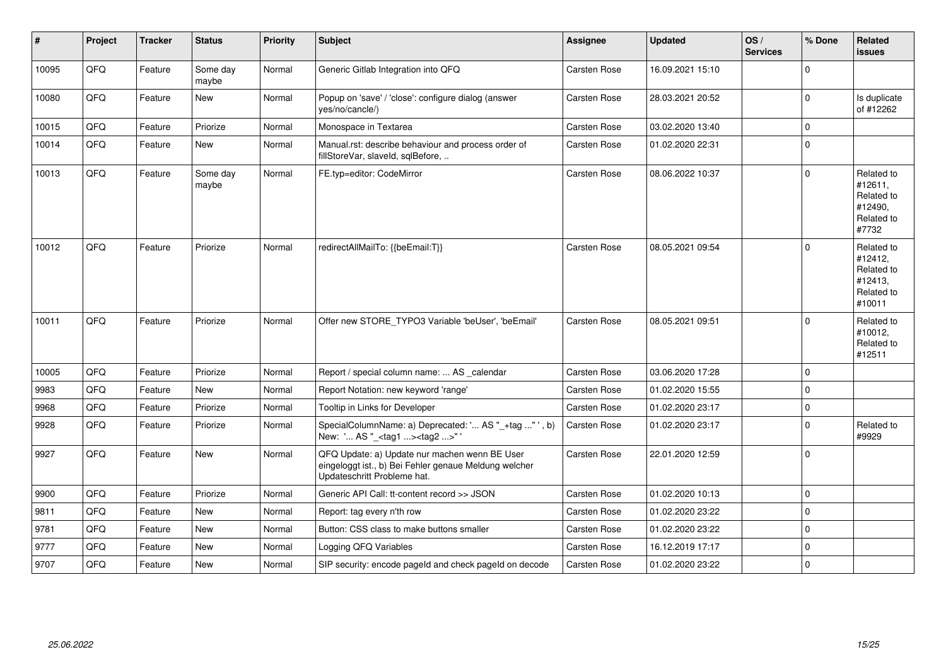| $\vert$ # | Project | <b>Tracker</b> | <b>Status</b>     | <b>Priority</b> | Subject                                                                                                                               | <b>Assignee</b>     | <b>Updated</b>   | OS/<br><b>Services</b> | % Done      | Related<br><b>issues</b>                                               |
|-----------|---------|----------------|-------------------|-----------------|---------------------------------------------------------------------------------------------------------------------------------------|---------------------|------------------|------------------------|-------------|------------------------------------------------------------------------|
| 10095     | QFQ     | Feature        | Some day<br>maybe | Normal          | Generic Gitlab Integration into QFQ                                                                                                   | <b>Carsten Rose</b> | 16.09.2021 15:10 |                        | $\Omega$    |                                                                        |
| 10080     | QFQ     | Feature        | New               | Normal          | Popup on 'save' / 'close': configure dialog (answer<br>yes/no/cancle/)                                                                | <b>Carsten Rose</b> | 28.03.2021 20:52 |                        | $\mathbf 0$ | Is duplicate<br>of #12262                                              |
| 10015     | QFQ     | Feature        | Priorize          | Normal          | Monospace in Textarea                                                                                                                 | Carsten Rose        | 03.02.2020 13:40 |                        | $\Omega$    |                                                                        |
| 10014     | QFQ     | Feature        | <b>New</b>        | Normal          | Manual.rst: describe behaviour and process order of<br>fillStoreVar, slaveId, sqlBefore,                                              | Carsten Rose        | 01.02.2020 22:31 |                        | $\Omega$    |                                                                        |
| 10013     | QFQ     | Feature        | Some day<br>maybe | Normal          | FE.typ=editor: CodeMirror                                                                                                             | Carsten Rose        | 08.06.2022 10:37 |                        | $\Omega$    | Related to<br>#12611,<br>Related to<br>#12490.<br>Related to<br>#7732  |
| 10012     | QFQ     | Feature        | Priorize          | Normal          | redirectAllMailTo: {{beEmail:T}}                                                                                                      | <b>Carsten Rose</b> | 08.05.2021 09:54 |                        | $\Omega$    | Related to<br>#12412,<br>Related to<br>#12413,<br>Related to<br>#10011 |
| 10011     | QFQ     | Feature        | Priorize          | Normal          | Offer new STORE_TYPO3 Variable 'beUser', 'beEmail'                                                                                    | Carsten Rose        | 08.05.2021 09:51 |                        | $\Omega$    | Related to<br>#10012,<br>Related to<br>#12511                          |
| 10005     | QFQ     | Feature        | Priorize          | Normal          | Report / special column name:  AS _calendar                                                                                           | Carsten Rose        | 03.06.2020 17:28 |                        | $\Omega$    |                                                                        |
| 9983      | QFQ     | Feature        | <b>New</b>        | Normal          | Report Notation: new keyword 'range'                                                                                                  | Carsten Rose        | 01.02.2020 15:55 |                        | $\Omega$    |                                                                        |
| 9968      | QFQ     | Feature        | Priorize          | Normal          | Tooltip in Links for Developer                                                                                                        | Carsten Rose        | 01.02.2020 23:17 |                        | $\mathbf 0$ |                                                                        |
| 9928      | QFQ     | Feature        | Priorize          | Normal          | SpecialColumnName: a) Deprecated: ' AS "_+tag " ', b)<br>New: ' AS "_ <tag1><tag2>"</tag2></tag1>                                     | Carsten Rose        | 01.02.2020 23:17 |                        | $\mathbf 0$ | Related to<br>#9929                                                    |
| 9927      | QFQ     | Feature        | <b>New</b>        | Normal          | QFQ Update: a) Update nur machen wenn BE User<br>eingeloggt ist., b) Bei Fehler genaue Meldung welcher<br>Updateschritt Probleme hat. | Carsten Rose        | 22.01.2020 12:59 |                        | $\Omega$    |                                                                        |
| 9900      | QFQ     | Feature        | Priorize          | Normal          | Generic API Call: tt-content record >> JSON                                                                                           | Carsten Rose        | 01.02.2020 10:13 |                        | $\Omega$    |                                                                        |
| 9811      | QFQ     | Feature        | <b>New</b>        | Normal          | Report: tag every n'th row                                                                                                            | Carsten Rose        | 01.02.2020 23:22 |                        | $\Omega$    |                                                                        |
| 9781      | QFQ     | Feature        | <b>New</b>        | Normal          | Button: CSS class to make buttons smaller                                                                                             | <b>Carsten Rose</b> | 01.02.2020 23:22 |                        | $\Omega$    |                                                                        |
| 9777      | QFQ     | Feature        | <b>New</b>        | Normal          | Logging QFQ Variables                                                                                                                 | Carsten Rose        | 16.12.2019 17:17 |                        | $\Omega$    |                                                                        |
| 9707      | QFQ     | Feature        | <b>New</b>        | Normal          | SIP security: encode pageld and check pageld on decode                                                                                | <b>Carsten Rose</b> | 01.02.2020 23:22 |                        | $\Omega$    |                                                                        |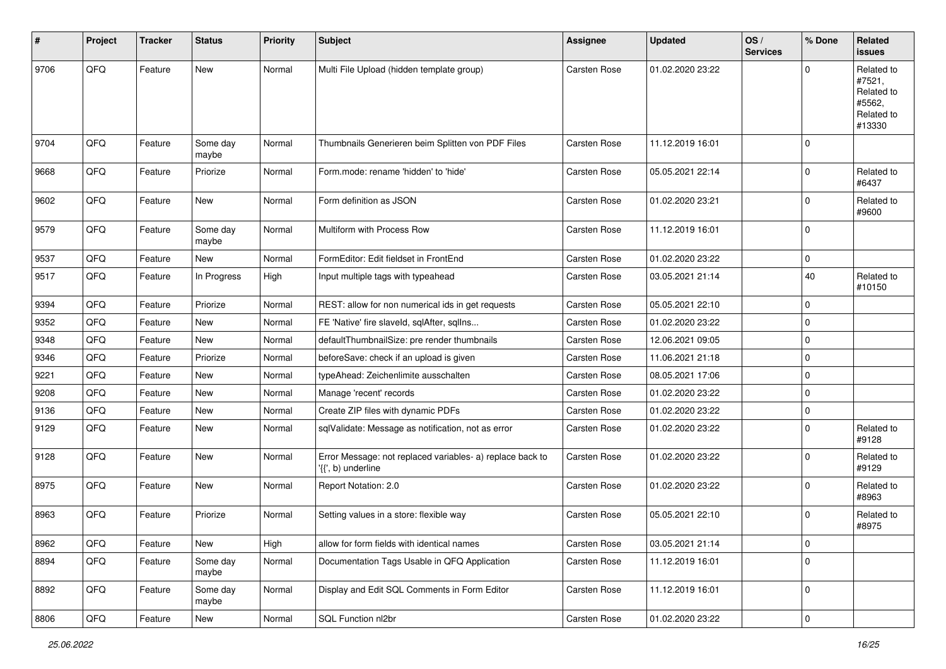| $\vert$ # | Project | <b>Tracker</b> | <b>Status</b>     | <b>Priority</b> | <b>Subject</b>                                                                  | Assignee            | <b>Updated</b>   | OS/<br><b>Services</b> | % Done      | Related<br><b>issues</b>                                             |
|-----------|---------|----------------|-------------------|-----------------|---------------------------------------------------------------------------------|---------------------|------------------|------------------------|-------------|----------------------------------------------------------------------|
| 9706      | QFQ     | Feature        | New               | Normal          | Multi File Upload (hidden template group)                                       | Carsten Rose        | 01.02.2020 23:22 |                        | $\Omega$    | Related to<br>#7521,<br>Related to<br>#5562,<br>Related to<br>#13330 |
| 9704      | QFQ     | Feature        | Some day<br>maybe | Normal          | Thumbnails Generieren beim Splitten von PDF Files                               | Carsten Rose        | 11.12.2019 16:01 |                        | $\mathbf 0$ |                                                                      |
| 9668      | QFQ     | Feature        | Priorize          | Normal          | Form.mode: rename 'hidden' to 'hide'                                            | Carsten Rose        | 05.05.2021 22:14 |                        | $\mathbf 0$ | Related to<br>#6437                                                  |
| 9602      | QFQ     | Feature        | New               | Normal          | Form definition as JSON                                                         | Carsten Rose        | 01.02.2020 23:21 |                        | $\mathbf 0$ | Related to<br>#9600                                                  |
| 9579      | QFQ     | Feature        | Some day<br>maybe | Normal          | Multiform with Process Row                                                      | Carsten Rose        | 11.12.2019 16:01 |                        | $\pmb{0}$   |                                                                      |
| 9537      | QFQ     | Feature        | New               | Normal          | FormEditor: Edit fieldset in FrontEnd                                           | Carsten Rose        | 01.02.2020 23:22 |                        | $\pmb{0}$   |                                                                      |
| 9517      | QFQ     | Feature        | In Progress       | High            | Input multiple tags with typeahead                                              | Carsten Rose        | 03.05.2021 21:14 |                        | 40          | Related to<br>#10150                                                 |
| 9394      | QFQ     | Feature        | Priorize          | Normal          | REST: allow for non numerical ids in get requests                               | Carsten Rose        | 05.05.2021 22:10 |                        | $\mathbf 0$ |                                                                      |
| 9352      | QFQ     | Feature        | New               | Normal          | FE 'Native' fire slaveld, sqlAfter, sqlIns                                      | Carsten Rose        | 01.02.2020 23:22 |                        | $\pmb{0}$   |                                                                      |
| 9348      | QFQ     | Feature        | New               | Normal          | defaultThumbnailSize: pre render thumbnails                                     | Carsten Rose        | 12.06.2021 09:05 |                        | $\pmb{0}$   |                                                                      |
| 9346      | QFQ     | Feature        | Priorize          | Normal          | beforeSave: check if an upload is given                                         | Carsten Rose        | 11.06.2021 21:18 |                        | $\pmb{0}$   |                                                                      |
| 9221      | QFQ     | Feature        | New               | Normal          | typeAhead: Zeichenlimite ausschalten                                            | Carsten Rose        | 08.05.2021 17:06 |                        | $\mathbf 0$ |                                                                      |
| 9208      | QFQ     | Feature        | <b>New</b>        | Normal          | Manage 'recent' records                                                         | Carsten Rose        | 01.02.2020 23:22 |                        | $\pmb{0}$   |                                                                      |
| 9136      | QFQ     | Feature        | New               | Normal          | Create ZIP files with dynamic PDFs                                              | Carsten Rose        | 01.02.2020 23:22 |                        | $\pmb{0}$   |                                                                      |
| 9129      | QFQ     | Feature        | New               | Normal          | sqlValidate: Message as notification, not as error                              | Carsten Rose        | 01.02.2020 23:22 |                        | $\Omega$    | Related to<br>#9128                                                  |
| 9128      | QFQ     | Feature        | New               | Normal          | Error Message: not replaced variables- a) replace back to<br>'{{', b) underline | Carsten Rose        | 01.02.2020 23:22 |                        | $\mathbf 0$ | Related to<br>#9129                                                  |
| 8975      | QFQ     | Feature        | New               | Normal          | Report Notation: 2.0                                                            | Carsten Rose        | 01.02.2020 23:22 |                        | $\pmb{0}$   | Related to<br>#8963                                                  |
| 8963      | QFQ     | Feature        | Priorize          | Normal          | Setting values in a store: flexible way                                         | <b>Carsten Rose</b> | 05.05.2021 22:10 |                        | $\mathbf 0$ | Related to<br>#8975                                                  |
| 8962      | QFQ     | Feature        | New               | High            | allow for form fields with identical names                                      | Carsten Rose        | 03.05.2021 21:14 |                        | $\pmb{0}$   |                                                                      |
| 8894      | QFQ     | Feature        | Some day<br>maybe | Normal          | Documentation Tags Usable in QFQ Application                                    | Carsten Rose        | 11.12.2019 16:01 |                        | $\mathbf 0$ |                                                                      |
| 8892      | QFQ     | Feature        | Some day<br>maybe | Normal          | Display and Edit SQL Comments in Form Editor                                    | Carsten Rose        | 11.12.2019 16:01 |                        | $\pmb{0}$   |                                                                      |
| 8806      | QFQ     | Feature        | New               | Normal          | SQL Function nl2br                                                              | Carsten Rose        | 01.02.2020 23:22 |                        | $\mathsf 0$ |                                                                      |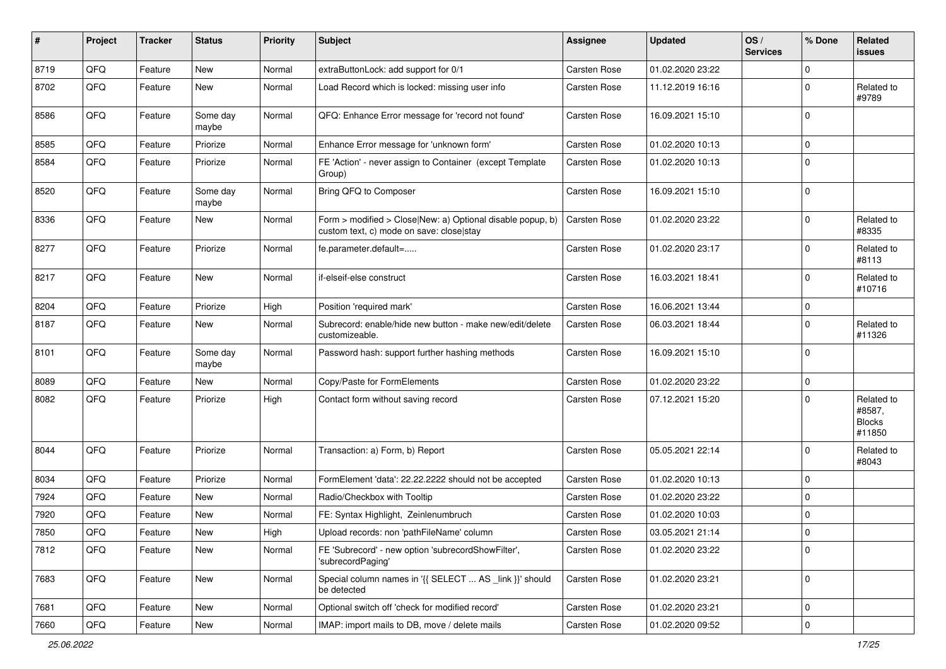| #    | Project | <b>Tracker</b> | <b>Status</b>     | <b>Priority</b> | <b>Subject</b>                                                                                         | <b>Assignee</b>     | <b>Updated</b>   | OS/<br><b>Services</b> | % Done      | Related<br><b>issues</b>                        |
|------|---------|----------------|-------------------|-----------------|--------------------------------------------------------------------------------------------------------|---------------------|------------------|------------------------|-------------|-------------------------------------------------|
| 8719 | QFQ     | Feature        | New               | Normal          | extraButtonLock: add support for 0/1                                                                   | Carsten Rose        | 01.02.2020 23:22 |                        | $\mathbf 0$ |                                                 |
| 8702 | QFQ     | Feature        | New               | Normal          | Load Record which is locked: missing user info                                                         | Carsten Rose        | 11.12.2019 16:16 |                        | $\mathbf 0$ | Related to<br>#9789                             |
| 8586 | QFQ     | Feature        | Some day<br>maybe | Normal          | QFQ: Enhance Error message for 'record not found'                                                      | Carsten Rose        | 16.09.2021 15:10 |                        | $\mathbf 0$ |                                                 |
| 8585 | QFQ     | Feature        | Priorize          | Normal          | Enhance Error message for 'unknown form'                                                               | Carsten Rose        | 01.02.2020 10:13 |                        | $\mathbf 0$ |                                                 |
| 8584 | QFQ     | Feature        | Priorize          | Normal          | FE 'Action' - never assign to Container (except Template<br>Group)                                     | Carsten Rose        | 01.02.2020 10:13 |                        | $\mathbf 0$ |                                                 |
| 8520 | QFQ     | Feature        | Some day<br>maybe | Normal          | Bring QFQ to Composer                                                                                  | Carsten Rose        | 16.09.2021 15:10 |                        | $\mathbf 0$ |                                                 |
| 8336 | QFQ     | Feature        | New               | Normal          | Form > modified > Close New: a) Optional disable popup, b)<br>custom text, c) mode on save: close stay | Carsten Rose        | 01.02.2020 23:22 |                        | $\mathbf 0$ | Related to<br>#8335                             |
| 8277 | QFQ     | Feature        | Priorize          | Normal          | fe.parameter.default=                                                                                  | Carsten Rose        | 01.02.2020 23:17 |                        | $\mathbf 0$ | Related to<br>#8113                             |
| 8217 | QFQ     | Feature        | <b>New</b>        | Normal          | if-elseif-else construct                                                                               | Carsten Rose        | 16.03.2021 18:41 |                        | $\mathbf 0$ | Related to<br>#10716                            |
| 8204 | QFQ     | Feature        | Priorize          | High            | Position 'required mark'                                                                               | Carsten Rose        | 16.06.2021 13:44 |                        | $\mathbf 0$ |                                                 |
| 8187 | QFQ     | Feature        | New               | Normal          | Subrecord: enable/hide new button - make new/edit/delete<br>customizeable.                             | Carsten Rose        | 06.03.2021 18:44 |                        | $\mathbf 0$ | Related to<br>#11326                            |
| 8101 | QFQ     | Feature        | Some day<br>maybe | Normal          | Password hash: support further hashing methods                                                         | Carsten Rose        | 16.09.2021 15:10 |                        | $\mathbf 0$ |                                                 |
| 8089 | QFQ     | Feature        | <b>New</b>        | Normal          | Copy/Paste for FormElements                                                                            | Carsten Rose        | 01.02.2020 23:22 |                        | $\mathbf 0$ |                                                 |
| 8082 | QFQ     | Feature        | Priorize          | High            | Contact form without saving record                                                                     | Carsten Rose        | 07.12.2021 15:20 |                        | $\Omega$    | Related to<br>#8587,<br><b>Blocks</b><br>#11850 |
| 8044 | QFQ     | Feature        | Priorize          | Normal          | Transaction: a) Form, b) Report                                                                        | Carsten Rose        | 05.05.2021 22:14 |                        | $\mathbf 0$ | Related to<br>#8043                             |
| 8034 | QFQ     | Feature        | Priorize          | Normal          | FormElement 'data': 22.22.2222 should not be accepted                                                  | Carsten Rose        | 01.02.2020 10:13 |                        | $\mathbf 0$ |                                                 |
| 7924 | QFQ     | Feature        | New               | Normal          | Radio/Checkbox with Tooltip                                                                            | Carsten Rose        | 01.02.2020 23:22 |                        | $\mathbf 0$ |                                                 |
| 7920 | QFQ     | Feature        | <b>New</b>        | Normal          | FE: Syntax Highlight, Zeinlenumbruch                                                                   | Carsten Rose        | 01.02.2020 10:03 |                        | $\mathbf 0$ |                                                 |
| 7850 | QFQ     | Feature        | New               | High            | Upload records: non 'pathFileName' column                                                              | <b>Carsten Rose</b> | 03.05.2021 21:14 |                        | $\Omega$    |                                                 |
| 7812 | QFQ     | Feature        | New               | Normal          | FE 'Subrecord' - new option 'subrecordShowFilter',<br>'subrecordPaging'                                | Carsten Rose        | 01.02.2020 23:22 |                        | $\mathbf 0$ |                                                 |
| 7683 | QFQ     | Feature        | New               | Normal          | Special column names in '{{ SELECT  AS _link }}' should<br>be detected                                 | Carsten Rose        | 01.02.2020 23:21 |                        | $\mathbf 0$ |                                                 |
| 7681 | QFQ     | Feature        | New               | Normal          | Optional switch off 'check for modified record'                                                        | Carsten Rose        | 01.02.2020 23:21 |                        | $\mathbf 0$ |                                                 |
| 7660 | QFG     | Feature        | New               | Normal          | IMAP: import mails to DB, move / delete mails                                                          | Carsten Rose        | 01.02.2020 09:52 |                        | $\mathbf 0$ |                                                 |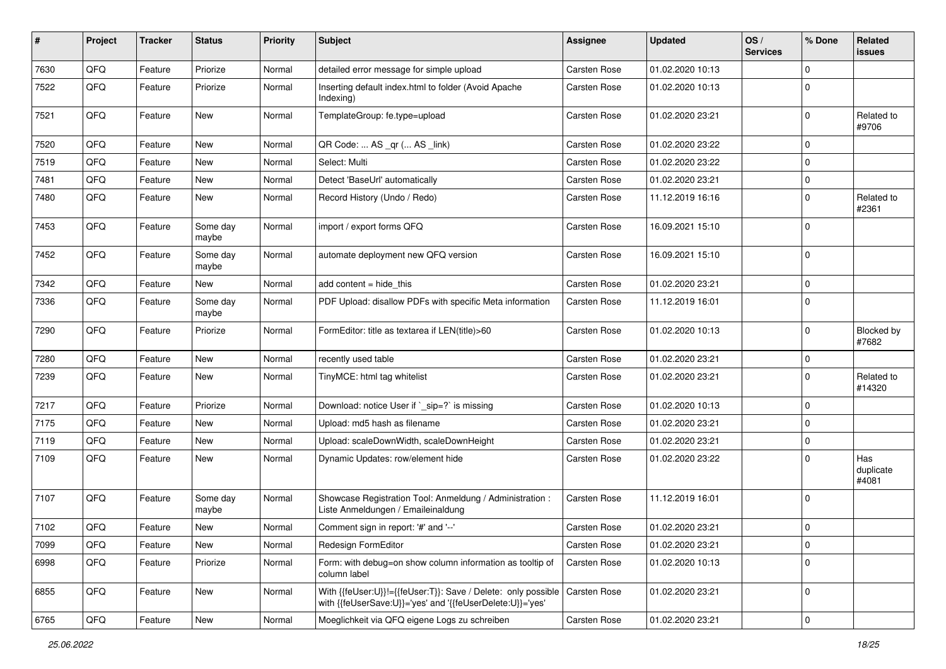| #    | Project | <b>Tracker</b> | <b>Status</b>     | <b>Priority</b> | <b>Subject</b>                                                                                                             | <b>Assignee</b> | <b>Updated</b>   | OS/<br><b>Services</b> | % Done      | Related<br><b>issues</b>  |
|------|---------|----------------|-------------------|-----------------|----------------------------------------------------------------------------------------------------------------------------|-----------------|------------------|------------------------|-------------|---------------------------|
| 7630 | QFQ     | Feature        | Priorize          | Normal          | detailed error message for simple upload                                                                                   | Carsten Rose    | 01.02.2020 10:13 |                        | $\mathbf 0$ |                           |
| 7522 | QFQ     | Feature        | Priorize          | Normal          | Inserting default index.html to folder (Avoid Apache<br>Indexing)                                                          | Carsten Rose    | 01.02.2020 10:13 |                        | $\mathbf 0$ |                           |
| 7521 | QFQ     | Feature        | <b>New</b>        | Normal          | TemplateGroup: fe.type=upload                                                                                              | Carsten Rose    | 01.02.2020 23:21 |                        | $\mathbf 0$ | Related to<br>#9706       |
| 7520 | QFQ     | Feature        | <b>New</b>        | Normal          | QR Code:  AS _qr ( AS _link)                                                                                               | Carsten Rose    | 01.02.2020 23:22 |                        | $\mathbf 0$ |                           |
| 7519 | QFQ     | Feature        | New               | Normal          | Select: Multi                                                                                                              | Carsten Rose    | 01.02.2020 23:22 |                        | $\mathbf 0$ |                           |
| 7481 | QFQ     | Feature        | New               | Normal          | Detect 'BaseUrl' automatically                                                                                             | Carsten Rose    | 01.02.2020 23:21 |                        | $\mathbf 0$ |                           |
| 7480 | QFQ     | Feature        | New               | Normal          | Record History (Undo / Redo)                                                                                               | Carsten Rose    | 11.12.2019 16:16 |                        | $\mathbf 0$ | Related to<br>#2361       |
| 7453 | QFQ     | Feature        | Some day<br>maybe | Normal          | import / export forms QFQ                                                                                                  | Carsten Rose    | 16.09.2021 15:10 |                        | $\mathbf 0$ |                           |
| 7452 | QFQ     | Feature        | Some day<br>maybe | Normal          | automate deployment new QFQ version                                                                                        | Carsten Rose    | 16.09.2021 15:10 |                        | $\mathbf 0$ |                           |
| 7342 | QFQ     | Feature        | New               | Normal          | add content = hide_this                                                                                                    | Carsten Rose    | 01.02.2020 23:21 |                        | $\mathbf 0$ |                           |
| 7336 | QFQ     | Feature        | Some day<br>maybe | Normal          | PDF Upload: disallow PDFs with specific Meta information                                                                   | Carsten Rose    | 11.12.2019 16:01 |                        | 0           |                           |
| 7290 | QFQ     | Feature        | Priorize          | Normal          | FormEditor: title as textarea if LEN(title)>60                                                                             | Carsten Rose    | 01.02.2020 10:13 |                        | $\mathbf 0$ | Blocked by<br>#7682       |
| 7280 | QFQ     | Feature        | <b>New</b>        | Normal          | recently used table                                                                                                        | Carsten Rose    | 01.02.2020 23:21 |                        | $\mathbf 0$ |                           |
| 7239 | QFQ     | Feature        | New               | Normal          | TinyMCE: html tag whitelist                                                                                                | Carsten Rose    | 01.02.2020 23:21 |                        | $\mathbf 0$ | Related to<br>#14320      |
| 7217 | QFQ     | Feature        | Priorize          | Normal          | Download: notice User if `_sip=?` is missing                                                                               | Carsten Rose    | 01.02.2020 10:13 |                        | $\mathbf 0$ |                           |
| 7175 | QFQ     | Feature        | New               | Normal          | Upload: md5 hash as filename                                                                                               | Carsten Rose    | 01.02.2020 23:21 |                        | $\Omega$    |                           |
| 7119 | QFQ     | Feature        | <b>New</b>        | Normal          | Upload: scaleDownWidth, scaleDownHeight                                                                                    | Carsten Rose    | 01.02.2020 23:21 |                        | $\mathbf 0$ |                           |
| 7109 | QFQ     | Feature        | New               | Normal          | Dynamic Updates: row/element hide                                                                                          | Carsten Rose    | 01.02.2020 23:22 |                        | 0           | Has<br>duplicate<br>#4081 |
| 7107 | QFQ     | Feature        | Some day<br>maybe | Normal          | Showcase Registration Tool: Anmeldung / Administration :<br>Liste Anmeldungen / Emaileinaldung                             | Carsten Rose    | 11.12.2019 16:01 |                        | $\mathbf 0$ |                           |
| 7102 | QFQ     | Feature        | New               | Normal          | Comment sign in report: '#' and '--'                                                                                       | Carsten Rose    | 01.02.2020 23:21 |                        | $\mathbf 0$ |                           |
| 7099 | QFQ     | Feature        | New               | Normal          | Redesign FormEditor                                                                                                        | Carsten Rose    | 01.02.2020 23:21 |                        | $\pmb{0}$   |                           |
| 6998 | QFQ     | Feature        | Priorize          | Normal          | Form: with debug=on show column information as tooltip of<br>column label                                                  | Carsten Rose    | 01.02.2020 10:13 |                        | $\mathbf 0$ |                           |
| 6855 | QFQ     | Feature        | New               | Normal          | With {{feUser:U}}!={{feUser:T}}: Save / Delete: only possible<br>with {{feUserSave:U}}='yes' and '{{feUserDelete:U}}='yes' | Carsten Rose    | 01.02.2020 23:21 |                        | 0           |                           |
| 6765 | QFQ     | Feature        | New               | Normal          | Moeglichkeit via QFQ eigene Logs zu schreiben                                                                              | Carsten Rose    | 01.02.2020 23:21 |                        | $\pmb{0}$   |                           |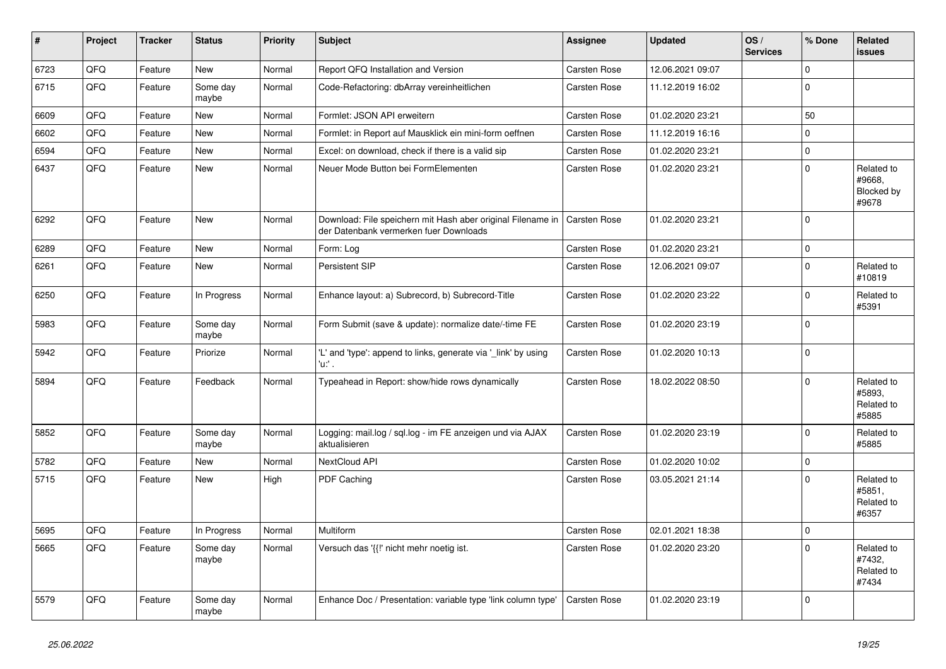| #    | Project | <b>Tracker</b> | <b>Status</b>     | <b>Priority</b> | <b>Subject</b>                                                                                        | <b>Assignee</b>     | <b>Updated</b>   | OS/<br><b>Services</b> | % Done      | Related<br><b>issues</b>                    |
|------|---------|----------------|-------------------|-----------------|-------------------------------------------------------------------------------------------------------|---------------------|------------------|------------------------|-------------|---------------------------------------------|
| 6723 | QFQ     | Feature        | <b>New</b>        | Normal          | Report QFQ Installation and Version                                                                   | Carsten Rose        | 12.06.2021 09:07 |                        | $\mathbf 0$ |                                             |
| 6715 | QFQ     | Feature        | Some day<br>maybe | Normal          | Code-Refactoring: dbArray vereinheitlichen                                                            | Carsten Rose        | 11.12.2019 16:02 |                        | $\mathbf 0$ |                                             |
| 6609 | QFQ     | Feature        | <b>New</b>        | Normal          | Formlet: JSON API erweitern                                                                           | <b>Carsten Rose</b> | 01.02.2020 23:21 |                        | 50          |                                             |
| 6602 | QFQ     | Feature        | <b>New</b>        | Normal          | Formlet: in Report auf Mausklick ein mini-form oeffnen                                                | Carsten Rose        | 11.12.2019 16:16 |                        | $\mathbf 0$ |                                             |
| 6594 | QFQ     | Feature        | <b>New</b>        | Normal          | Excel: on download, check if there is a valid sip                                                     | Carsten Rose        | 01.02.2020 23:21 |                        | $\mathbf 0$ |                                             |
| 6437 | QFQ     | Feature        | <b>New</b>        | Normal          | Neuer Mode Button bei FormElementen                                                                   | Carsten Rose        | 01.02.2020 23:21 |                        | $\mathbf 0$ | Related to<br>#9668,<br>Blocked by<br>#9678 |
| 6292 | QFQ     | Feature        | <b>New</b>        | Normal          | Download: File speichern mit Hash aber original Filename in<br>der Datenbank vermerken fuer Downloads | Carsten Rose        | 01.02.2020 23:21 |                        | $\Omega$    |                                             |
| 6289 | QFQ     | Feature        | <b>New</b>        | Normal          | Form: Log                                                                                             | Carsten Rose        | 01.02.2020 23:21 |                        | $\mathbf 0$ |                                             |
| 6261 | QFQ     | Feature        | <b>New</b>        | Normal          | Persistent SIP                                                                                        | Carsten Rose        | 12.06.2021 09:07 |                        | $\mathbf 0$ | Related to<br>#10819                        |
| 6250 | QFQ     | Feature        | In Progress       | Normal          | Enhance layout: a) Subrecord, b) Subrecord-Title                                                      | Carsten Rose        | 01.02.2020 23:22 |                        | $\Omega$    | Related to<br>#5391                         |
| 5983 | QFQ     | Feature        | Some day<br>maybe | Normal          | Form Submit (save & update): normalize date/-time FE                                                  | <b>Carsten Rose</b> | 01.02.2020 23:19 |                        | $\mathbf 0$ |                                             |
| 5942 | QFQ     | Feature        | Priorize          | Normal          | 'L' and 'type': append to links, generate via '_link' by using<br>'u:' .                              | <b>Carsten Rose</b> | 01.02.2020 10:13 |                        | $\mathbf 0$ |                                             |
| 5894 | QFQ     | Feature        | Feedback          | Normal          | Typeahead in Report: show/hide rows dynamically                                                       | Carsten Rose        | 18.02.2022 08:50 |                        | $\Omega$    | Related to<br>#5893,<br>Related to<br>#5885 |
| 5852 | QFQ     | Feature        | Some day<br>maybe | Normal          | Logging: mail.log / sql.log - im FE anzeigen und via AJAX<br>aktualisieren                            | <b>Carsten Rose</b> | 01.02.2020 23:19 |                        | $\mathbf 0$ | Related to<br>#5885                         |
| 5782 | QFQ     | Feature        | <b>New</b>        | Normal          | NextCloud API                                                                                         | Carsten Rose        | 01.02.2020 10:02 |                        | $\mathbf 0$ |                                             |
| 5715 | QFQ     | Feature        | New               | High            | PDF Caching                                                                                           | Carsten Rose        | 03.05.2021 21:14 |                        | $\Omega$    | Related to<br>#5851,<br>Related to<br>#6357 |
| 5695 | QFQ     | Feature        | In Progress       | Normal          | <b>Multiform</b>                                                                                      | Carsten Rose        | 02.01.2021 18:38 |                        | $\mathbf 0$ |                                             |
| 5665 | QFQ     | Feature        | Some day<br>maybe | Normal          | Versuch das '{{!' nicht mehr noetig ist.                                                              | Carsten Rose        | 01.02.2020 23:20 |                        | $\mathbf 0$ | Related to<br>#7432,<br>Related to<br>#7434 |
| 5579 | QFQ     | Feature        | Some day<br>maybe | Normal          | Enhance Doc / Presentation: variable type 'link column type'                                          | <b>Carsten Rose</b> | 01.02.2020 23:19 |                        | $\Omega$    |                                             |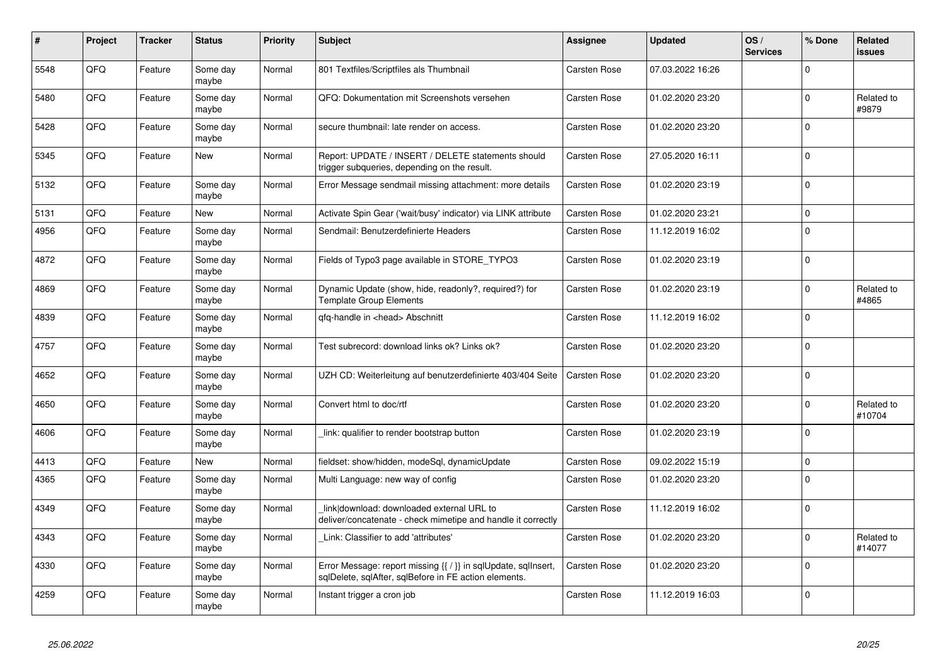| #    | Project | <b>Tracker</b> | <b>Status</b>     | <b>Priority</b> | <b>Subject</b>                                                                                                          | Assignee            | <b>Updated</b>   | OS/<br><b>Services</b> | % Done      | <b>Related</b><br><b>issues</b> |
|------|---------|----------------|-------------------|-----------------|-------------------------------------------------------------------------------------------------------------------------|---------------------|------------------|------------------------|-------------|---------------------------------|
| 5548 | QFQ     | Feature        | Some day<br>maybe | Normal          | 801 Textfiles/Scriptfiles als Thumbnail                                                                                 | Carsten Rose        | 07.03.2022 16:26 |                        | $\mathbf 0$ |                                 |
| 5480 | QFQ     | Feature        | Some day<br>maybe | Normal          | QFQ: Dokumentation mit Screenshots versehen                                                                             | Carsten Rose        | 01.02.2020 23:20 |                        | $\mathbf 0$ | Related to<br>#9879             |
| 5428 | QFQ     | Feature        | Some day<br>maybe | Normal          | secure thumbnail: late render on access.                                                                                | Carsten Rose        | 01.02.2020 23:20 |                        | $\Omega$    |                                 |
| 5345 | QFQ     | Feature        | New               | Normal          | Report: UPDATE / INSERT / DELETE statements should<br>trigger subqueries, depending on the result.                      | Carsten Rose        | 27.05.2020 16:11 |                        | $\mathbf 0$ |                                 |
| 5132 | QFQ     | Feature        | Some day<br>maybe | Normal          | Error Message sendmail missing attachment: more details                                                                 | Carsten Rose        | 01.02.2020 23:19 |                        | $\mathsf 0$ |                                 |
| 5131 | QFQ     | Feature        | New               | Normal          | Activate Spin Gear ('wait/busy' indicator) via LINK attribute                                                           | Carsten Rose        | 01.02.2020 23:21 |                        | $\mathsf 0$ |                                 |
| 4956 | QFQ     | Feature        | Some day<br>maybe | Normal          | Sendmail: Benutzerdefinierte Headers                                                                                    | <b>Carsten Rose</b> | 11.12.2019 16:02 |                        | $\mathsf 0$ |                                 |
| 4872 | QFQ     | Feature        | Some day<br>maybe | Normal          | Fields of Typo3 page available in STORE_TYPO3                                                                           | Carsten Rose        | 01.02.2020 23:19 |                        | $\mathbf 0$ |                                 |
| 4869 | QFQ     | Feature        | Some day<br>maybe | Normal          | Dynamic Update (show, hide, readonly?, required?) for<br><b>Template Group Elements</b>                                 | Carsten Rose        | 01.02.2020 23:19 |                        | $\mathbf 0$ | Related to<br>#4865             |
| 4839 | QFQ     | Feature        | Some day<br>maybe | Normal          | qfq-handle in <head> Abschnitt</head>                                                                                   | Carsten Rose        | 11.12.2019 16:02 |                        | $\mathbf 0$ |                                 |
| 4757 | QFQ     | Feature        | Some day<br>maybe | Normal          | Test subrecord: download links ok? Links ok?                                                                            | Carsten Rose        | 01.02.2020 23:20 |                        | $\mathbf 0$ |                                 |
| 4652 | QFQ     | Feature        | Some day<br>maybe | Normal          | UZH CD: Weiterleitung auf benutzerdefinierte 403/404 Seite                                                              | Carsten Rose        | 01.02.2020 23:20 |                        | $\Omega$    |                                 |
| 4650 | QFQ     | Feature        | Some day<br>maybe | Normal          | Convert html to doc/rtf                                                                                                 | Carsten Rose        | 01.02.2020 23:20 |                        | $\mathbf 0$ | Related to<br>#10704            |
| 4606 | QFQ     | Feature        | Some day<br>maybe | Normal          | link: qualifier to render bootstrap button                                                                              | Carsten Rose        | 01.02.2020 23:19 |                        | $\mathbf 0$ |                                 |
| 4413 | QFQ     | Feature        | New               | Normal          | fieldset: show/hidden, modeSql, dynamicUpdate                                                                           | Carsten Rose        | 09.02.2022 15:19 |                        | $\mathbf 0$ |                                 |
| 4365 | QFQ     | Feature        | Some day<br>maybe | Normal          | Multi Language: new way of config                                                                                       | Carsten Rose        | 01.02.2020 23:20 |                        | $\mathbf 0$ |                                 |
| 4349 | QFQ     | Feature        | Some day<br>maybe | Normal          | link download: downloaded external URL to<br>deliver/concatenate - check mimetipe and handle it correctly               | <b>Carsten Rose</b> | 11.12.2019 16:02 |                        | $\Omega$    |                                 |
| 4343 | QFQ     | Feature        | Some day<br>maybe | Normal          | Link: Classifier to add 'attributes'                                                                                    | Carsten Rose        | 01.02.2020 23:20 |                        | $\Omega$    | Related to<br>#14077            |
| 4330 | QFQ     | Feature        | Some day<br>maybe | Normal          | Error Message: report missing {{ / }} in sqlUpdate, sqlInsert,<br>sqlDelete, sqlAfter, sqlBefore in FE action elements. | Carsten Rose        | 01.02.2020 23:20 |                        | $\mathbf 0$ |                                 |
| 4259 | QFQ     | Feature        | Some day<br>maybe | Normal          | Instant trigger a cron job                                                                                              | Carsten Rose        | 11.12.2019 16:03 |                        | $\mathbf 0$ |                                 |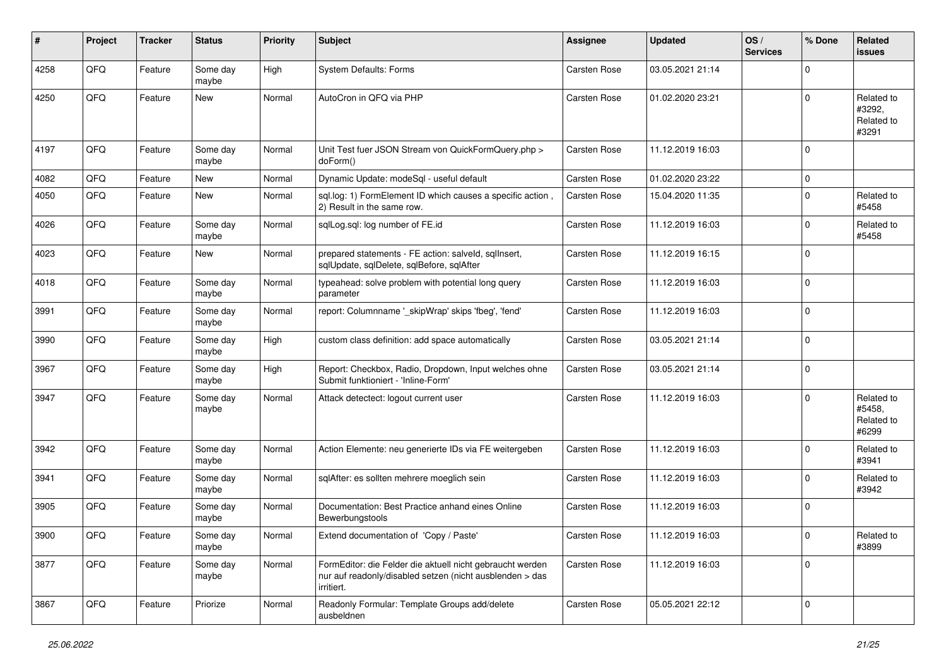| #    | Project | <b>Tracker</b> | <b>Status</b>     | <b>Priority</b> | <b>Subject</b>                                                                                                                      | <b>Assignee</b>     | <b>Updated</b>   | OS/<br><b>Services</b> | % Done      | Related<br><b>issues</b>                    |
|------|---------|----------------|-------------------|-----------------|-------------------------------------------------------------------------------------------------------------------------------------|---------------------|------------------|------------------------|-------------|---------------------------------------------|
| 4258 | QFQ     | Feature        | Some day<br>maybe | High            | <b>System Defaults: Forms</b>                                                                                                       | Carsten Rose        | 03.05.2021 21:14 |                        | $\Omega$    |                                             |
| 4250 | QFQ     | Feature        | New               | Normal          | AutoCron in QFQ via PHP                                                                                                             | Carsten Rose        | 01.02.2020 23:21 |                        | $\Omega$    | Related to<br>#3292.<br>Related to<br>#3291 |
| 4197 | QFQ     | Feature        | Some day<br>maybe | Normal          | Unit Test fuer JSON Stream von QuickFormQuery.php ><br>doForm()                                                                     | Carsten Rose        | 11.12.2019 16:03 |                        | $\Omega$    |                                             |
| 4082 | QFQ     | Feature        | New               | Normal          | Dynamic Update: modeSql - useful default                                                                                            | Carsten Rose        | 01.02.2020 23:22 |                        | $\mathbf 0$ |                                             |
| 4050 | QFQ     | Feature        | New               | Normal          | sql.log: 1) FormElement ID which causes a specific action,<br>2) Result in the same row.                                            | Carsten Rose        | 15.04.2020 11:35 |                        | 0           | Related to<br>#5458                         |
| 4026 | QFQ     | Feature        | Some day<br>maybe | Normal          | sqlLog.sql: log number of FE.id                                                                                                     | Carsten Rose        | 11.12.2019 16:03 |                        | $\Omega$    | Related to<br>#5458                         |
| 4023 | QFQ     | Feature        | New               | Normal          | prepared statements - FE action: salveld, sqllnsert,<br>sqlUpdate, sqlDelete, sqlBefore, sqlAfter                                   | Carsten Rose        | 11.12.2019 16:15 |                        | $\Omega$    |                                             |
| 4018 | QFQ     | Feature        | Some day<br>maybe | Normal          | typeahead: solve problem with potential long query<br>parameter                                                                     | Carsten Rose        | 11.12.2019 16:03 |                        | $\Omega$    |                                             |
| 3991 | QFQ     | Feature        | Some day<br>maybe | Normal          | report: Columnname '_skipWrap' skips 'fbeg', 'fend'                                                                                 | Carsten Rose        | 11.12.2019 16:03 |                        | $\mathbf 0$ |                                             |
| 3990 | QFQ     | Feature        | Some day<br>maybe | High            | custom class definition: add space automatically                                                                                    | Carsten Rose        | 03.05.2021 21:14 |                        | $\mathbf 0$ |                                             |
| 3967 | QFQ     | Feature        | Some day<br>maybe | High            | Report: Checkbox, Radio, Dropdown, Input welches ohne<br>Submit funktioniert - 'Inline-Form'                                        | Carsten Rose        | 03.05.2021 21:14 |                        | $\Omega$    |                                             |
| 3947 | QFQ     | Feature        | Some day<br>maybe | Normal          | Attack detectect: logout current user                                                                                               | Carsten Rose        | 11.12.2019 16:03 |                        | $\Omega$    | Related to<br>#5458,<br>Related to<br>#6299 |
| 3942 | QFQ     | Feature        | Some day<br>maybe | Normal          | Action Elemente: neu generierte IDs via FE weitergeben                                                                              | <b>Carsten Rose</b> | 11.12.2019 16:03 |                        | $\Omega$    | Related to<br>#3941                         |
| 3941 | QFQ     | Feature        | Some day<br>maybe | Normal          | sqlAfter: es sollten mehrere moeglich sein                                                                                          | Carsten Rose        | 11.12.2019 16:03 |                        | $\mathbf 0$ | Related to<br>#3942                         |
| 3905 | QFQ     | Feature        | Some day<br>maybe | Normal          | Documentation: Best Practice anhand eines Online<br>Bewerbungstools                                                                 | Carsten Rose        | 11.12.2019 16:03 |                        | $\Omega$    |                                             |
| 3900 | QFQ     | Feature        | Some day<br>maybe | Normal          | Extend documentation of 'Copy / Paste'                                                                                              | Carsten Rose        | 11.12.2019 16:03 |                        | $\pmb{0}$   | Related to<br>#3899                         |
| 3877 | QFQ     | Feature        | Some day<br>maybe | Normal          | FormEditor: die Felder die aktuell nicht gebraucht werden<br>nur auf readonly/disabled setzen (nicht ausblenden > das<br>irritiert. | Carsten Rose        | 11.12.2019 16:03 |                        | $\mathbf 0$ |                                             |
| 3867 | QFQ     | Feature        | Priorize          | Normal          | Readonly Formular: Template Groups add/delete<br>ausbeldnen                                                                         | Carsten Rose        | 05.05.2021 22:12 |                        | $\Omega$    |                                             |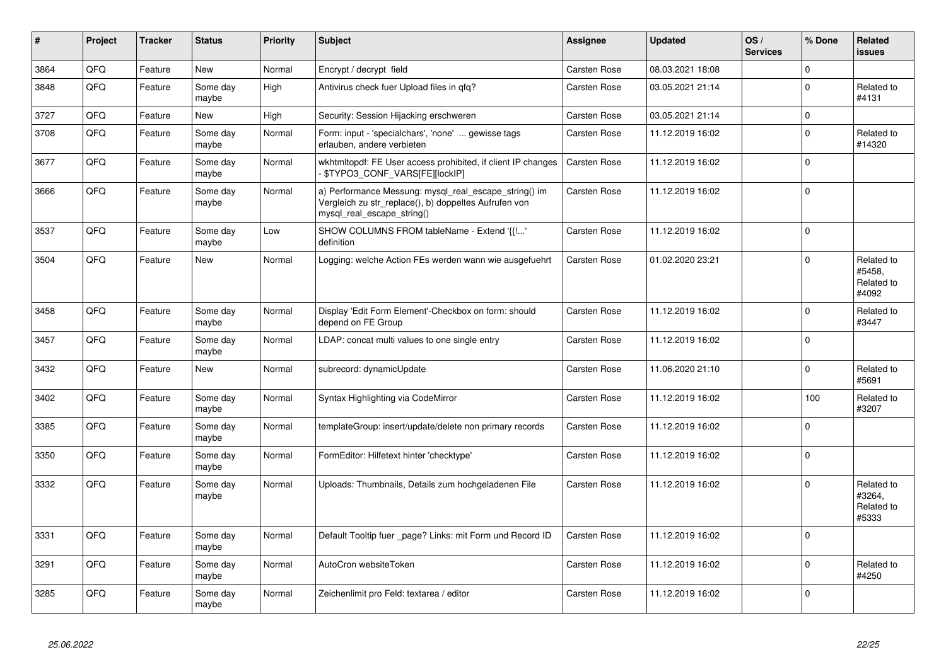| $\vert$ # | Project | <b>Tracker</b> | <b>Status</b>     | <b>Priority</b> | <b>Subject</b>                                                                                                                               | Assignee            | <b>Updated</b>   | OS/<br><b>Services</b> | % Done      | Related<br><b>issues</b>                    |
|-----------|---------|----------------|-------------------|-----------------|----------------------------------------------------------------------------------------------------------------------------------------------|---------------------|------------------|------------------------|-------------|---------------------------------------------|
| 3864      | QFQ     | Feature        | <b>New</b>        | Normal          | Encrypt / decrypt field                                                                                                                      | Carsten Rose        | 08.03.2021 18:08 |                        | $\mathbf 0$ |                                             |
| 3848      | QFQ     | Feature        | Some day<br>maybe | High            | Antivirus check fuer Upload files in qfq?                                                                                                    | Carsten Rose        | 03.05.2021 21:14 |                        | $\Omega$    | Related to<br>#4131                         |
| 3727      | QFQ     | Feature        | <b>New</b>        | High            | Security: Session Hijacking erschweren                                                                                                       | Carsten Rose        | 03.05.2021 21:14 |                        | $\pmb{0}$   |                                             |
| 3708      | QFQ     | Feature        | Some day<br>maybe | Normal          | Form: input - 'specialchars', 'none'  gewisse tags<br>erlauben, andere verbieten                                                             | Carsten Rose        | 11.12.2019 16:02 |                        | $\Omega$    | Related to<br>#14320                        |
| 3677      | QFQ     | Feature        | Some day<br>maybe | Normal          | wkhtmltopdf: FE User access prohibited, if client IP changes<br>\$TYPO3_CONF_VARS[FE][lockIP]                                                | Carsten Rose        | 11.12.2019 16:02 |                        | $\Omega$    |                                             |
| 3666      | QFQ     | Feature        | Some day<br>maybe | Normal          | a) Performance Messung: mysql_real_escape_string() im<br>Vergleich zu str replace(), b) doppeltes Aufrufen von<br>mysql real escape string() | Carsten Rose        | 11.12.2019 16:02 |                        | $\Omega$    |                                             |
| 3537      | QFQ     | Feature        | Some day<br>maybe | Low             | SHOW COLUMNS FROM tableName - Extend '{{!'<br>definition                                                                                     | Carsten Rose        | 11.12.2019 16:02 |                        | $\mathbf 0$ |                                             |
| 3504      | QFQ     | Feature        | <b>New</b>        | Normal          | Logging: welche Action FEs werden wann wie ausgefuehrt                                                                                       | Carsten Rose        | 01.02.2020 23:21 |                        | $\mathbf 0$ | Related to<br>#5458,<br>Related to<br>#4092 |
| 3458      | QFQ     | Feature        | Some day<br>maybe | Normal          | Display 'Edit Form Element'-Checkbox on form: should<br>depend on FE Group                                                                   | Carsten Rose        | 11.12.2019 16:02 |                        | $\Omega$    | Related to<br>#3447                         |
| 3457      | QFQ     | Feature        | Some day<br>maybe | Normal          | LDAP: concat multi values to one single entry                                                                                                | Carsten Rose        | 11.12.2019 16:02 |                        | $\Omega$    |                                             |
| 3432      | QFQ     | Feature        | New               | Normal          | subrecord: dynamicUpdate                                                                                                                     | Carsten Rose        | 11.06.2020 21:10 |                        | $\Omega$    | Related to<br>#5691                         |
| 3402      | QFQ     | Feature        | Some day<br>maybe | Normal          | Syntax Highlighting via CodeMirror                                                                                                           | Carsten Rose        | 11.12.2019 16:02 |                        | 100         | Related to<br>#3207                         |
| 3385      | QFQ     | Feature        | Some day<br>maybe | Normal          | templateGroup: insert/update/delete non primary records                                                                                      | Carsten Rose        | 11.12.2019 16:02 |                        | $\Omega$    |                                             |
| 3350      | QFQ     | Feature        | Some day<br>maybe | Normal          | FormEditor: Hilfetext hinter 'checktype'                                                                                                     | Carsten Rose        | 11.12.2019 16:02 |                        | $\mathbf 0$ |                                             |
| 3332      | QFQ     | Feature        | Some day<br>maybe | Normal          | Uploads: Thumbnails, Details zum hochgeladenen File                                                                                          | Carsten Rose        | 11.12.2019 16:02 |                        | $\mathbf 0$ | Related to<br>#3264,<br>Related to<br>#5333 |
| 3331      | QFQ     | Feature        | Some day<br>maybe | Normal          | Default Tooltip fuer page? Links: mit Form und Record ID                                                                                     | <b>Carsten Rose</b> | 11.12.2019 16:02 |                        | $\Omega$    |                                             |
| 3291      | QFQ     | Feature        | Some day<br>maybe | Normal          | AutoCron websiteToken                                                                                                                        | Carsten Rose        | 11.12.2019 16:02 |                        | $\Omega$    | Related to<br>#4250                         |
| 3285      | QFQ     | Feature        | Some day<br>maybe | Normal          | Zeichenlimit pro Feld: textarea / editor                                                                                                     | Carsten Rose        | 11.12.2019 16:02 |                        | $\Omega$    |                                             |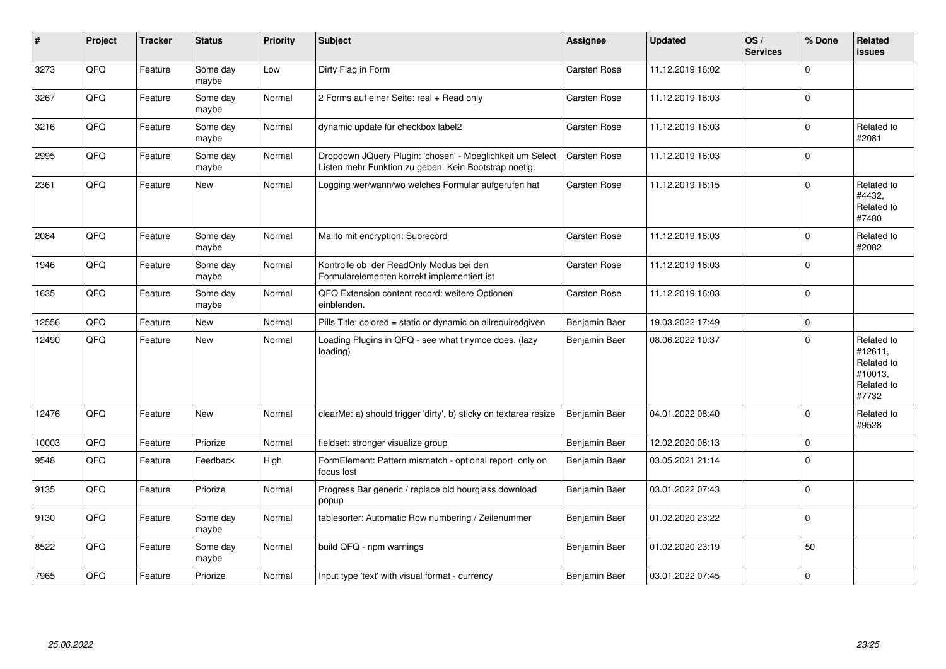| #     | Project | <b>Tracker</b> | <b>Status</b>     | <b>Priority</b> | <b>Subject</b>                                                                                                     | <b>Assignee</b>     | <b>Updated</b>   | OS/<br><b>Services</b> | % Done      | Related<br><b>issues</b>                                              |
|-------|---------|----------------|-------------------|-----------------|--------------------------------------------------------------------------------------------------------------------|---------------------|------------------|------------------------|-------------|-----------------------------------------------------------------------|
| 3273  | QFQ     | Feature        | Some day<br>maybe | Low             | Dirty Flag in Form                                                                                                 | Carsten Rose        | 11.12.2019 16:02 |                        | $\Omega$    |                                                                       |
| 3267  | QFQ     | Feature        | Some day<br>maybe | Normal          | 2 Forms auf einer Seite: real + Read only                                                                          | Carsten Rose        | 11.12.2019 16:03 |                        | $\Omega$    |                                                                       |
| 3216  | QFQ     | Feature        | Some day<br>maybe | Normal          | dynamic update für checkbox label2                                                                                 | Carsten Rose        | 11.12.2019 16:03 |                        | $\mathbf 0$ | Related to<br>#2081                                                   |
| 2995  | QFQ     | Feature        | Some day<br>maybe | Normal          | Dropdown JQuery Plugin: 'chosen' - Moeglichkeit um Select<br>Listen mehr Funktion zu geben. Kein Bootstrap noetig. | Carsten Rose        | 11.12.2019 16:03 |                        | $\mathbf 0$ |                                                                       |
| 2361  | QFQ     | Feature        | New               | Normal          | Logging wer/wann/wo welches Formular aufgerufen hat                                                                | Carsten Rose        | 11.12.2019 16:15 |                        | $\mathbf 0$ | Related to<br>#4432,<br>Related to<br>#7480                           |
| 2084  | QFQ     | Feature        | Some day<br>maybe | Normal          | Mailto mit encryption: Subrecord                                                                                   | Carsten Rose        | 11.12.2019 16:03 |                        | $\mathbf 0$ | Related to<br>#2082                                                   |
| 1946  | QFQ     | Feature        | Some day<br>maybe | Normal          | Kontrolle ob der ReadOnly Modus bei den<br>Formularelementen korrekt implementiert ist                             | Carsten Rose        | 11.12.2019 16:03 |                        | $\Omega$    |                                                                       |
| 1635  | QFQ     | Feature        | Some day<br>maybe | Normal          | QFQ Extension content record: weitere Optionen<br>einblenden.                                                      | <b>Carsten Rose</b> | 11.12.2019 16:03 |                        | $\mathbf 0$ |                                                                       |
| 12556 | QFQ     | Feature        | <b>New</b>        | Normal          | Pills Title: colored = static or dynamic on allrequiredgiven                                                       | Benjamin Baer       | 19.03.2022 17:49 |                        | $\mathbf 0$ |                                                                       |
| 12490 | QFQ     | Feature        | New               | Normal          | Loading Plugins in QFQ - see what tinymce does. (lazy<br>loading)                                                  | Benjamin Baer       | 08.06.2022 10:37 |                        | $\mathbf 0$ | Related to<br>#12611,<br>Related to<br>#10013,<br>Related to<br>#7732 |
| 12476 | QFQ     | Feature        | New               | Normal          | clearMe: a) should trigger 'dirty', b) sticky on textarea resize                                                   | Benjamin Baer       | 04.01.2022 08:40 |                        | $\mathbf 0$ | Related to<br>#9528                                                   |
| 10003 | QFQ     | Feature        | Priorize          | Normal          | fieldset: stronger visualize group                                                                                 | Benjamin Baer       | 12.02.2020 08:13 |                        | $\mathbf 0$ |                                                                       |
| 9548  | QFQ     | Feature        | Feedback          | High            | FormElement: Pattern mismatch - optional report only on<br>focus lost                                              | Benjamin Baer       | 03.05.2021 21:14 |                        | $\mathbf 0$ |                                                                       |
| 9135  | QFQ     | Feature        | Priorize          | Normal          | Progress Bar generic / replace old hourglass download<br>popup                                                     | Benjamin Baer       | 03.01.2022 07:43 |                        | $\mathbf 0$ |                                                                       |
| 9130  | QFQ     | Feature        | Some day<br>maybe | Normal          | tablesorter: Automatic Row numbering / Zeilenummer                                                                 | Benjamin Baer       | 01.02.2020 23:22 |                        | $\mathbf 0$ |                                                                       |
| 8522  | QFQ     | Feature        | Some day<br>maybe | Normal          | build QFQ - npm warnings                                                                                           | Benjamin Baer       | 01.02.2020 23:19 |                        | 50          |                                                                       |
| 7965  | QFQ     | Feature        | Priorize          | Normal          | Input type 'text' with visual format - currency                                                                    | Benjamin Baer       | 03.01.2022 07:45 |                        | $\mathbf 0$ |                                                                       |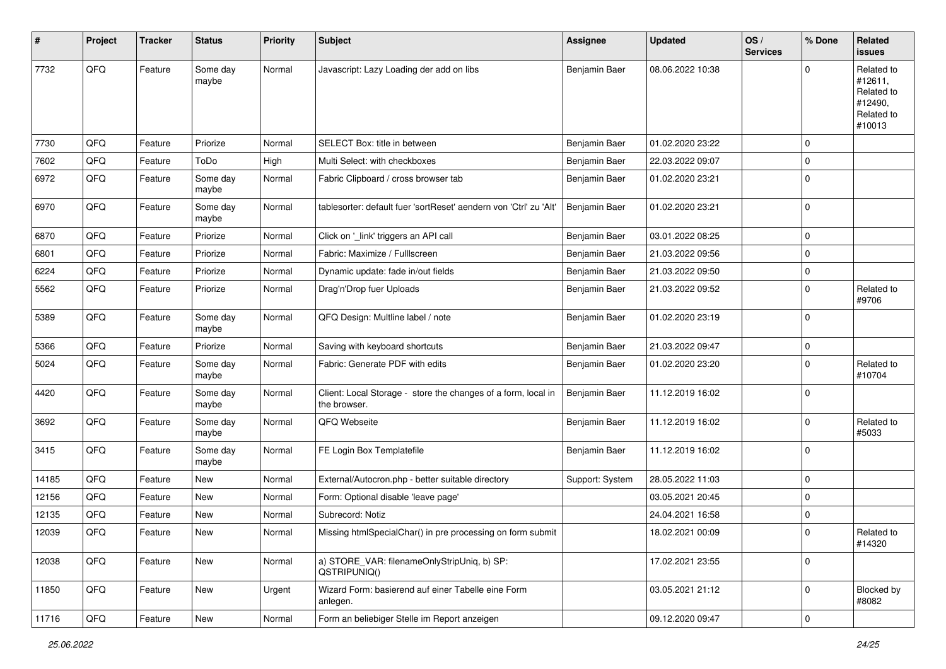| #     | Project | <b>Tracker</b> | <b>Status</b>     | <b>Priority</b> | <b>Subject</b>                                                                | Assignee        | <b>Updated</b>   | OS/<br><b>Services</b> | % Done      | <b>Related</b><br><b>issues</b>                                        |
|-------|---------|----------------|-------------------|-----------------|-------------------------------------------------------------------------------|-----------------|------------------|------------------------|-------------|------------------------------------------------------------------------|
| 7732  | QFQ     | Feature        | Some day<br>maybe | Normal          | Javascript: Lazy Loading der add on libs                                      | Benjamin Baer   | 08.06.2022 10:38 |                        | $\Omega$    | Related to<br>#12611,<br>Related to<br>#12490,<br>Related to<br>#10013 |
| 7730  | QFQ     | Feature        | Priorize          | Normal          | SELECT Box: title in between                                                  | Benjamin Baer   | 01.02.2020 23:22 |                        | $\mathbf 0$ |                                                                        |
| 7602  | QFQ     | Feature        | ToDo              | High            | Multi Select: with checkboxes                                                 | Benjamin Baer   | 22.03.2022 09:07 |                        | $\mathbf 0$ |                                                                        |
| 6972  | QFQ     | Feature        | Some day<br>maybe | Normal          | Fabric Clipboard / cross browser tab                                          | Benjamin Baer   | 01.02.2020 23:21 |                        | $\mathbf 0$ |                                                                        |
| 6970  | QFQ     | Feature        | Some day<br>maybe | Normal          | tablesorter: default fuer 'sortReset' aendern von 'Ctrl' zu 'Alt'             | Benjamin Baer   | 01.02.2020 23:21 |                        | $\mathbf 0$ |                                                                        |
| 6870  | QFQ     | Feature        | Priorize          | Normal          | Click on '_link' triggers an API call                                         | Benjamin Baer   | 03.01.2022 08:25 |                        | $\mathbf 0$ |                                                                        |
| 6801  | QFQ     | Feature        | Priorize          | Normal          | Fabric: Maximize / Fulllscreen                                                | Benjamin Baer   | 21.03.2022 09:56 |                        | $\mathbf 0$ |                                                                        |
| 6224  | QFQ     | Feature        | Priorize          | Normal          | Dynamic update: fade in/out fields                                            | Benjamin Baer   | 21.03.2022 09:50 |                        | $\mathbf 0$ |                                                                        |
| 5562  | QFQ     | Feature        | Priorize          | Normal          | Drag'n'Drop fuer Uploads                                                      | Benjamin Baer   | 21.03.2022 09:52 |                        | 0           | Related to<br>#9706                                                    |
| 5389  | QFQ     | Feature        | Some day<br>maybe | Normal          | QFQ Design: Multline label / note                                             | Benjamin Baer   | 01.02.2020 23:19 |                        | $\mathbf 0$ |                                                                        |
| 5366  | QFQ     | Feature        | Priorize          | Normal          | Saving with keyboard shortcuts                                                | Benjamin Baer   | 21.03.2022 09:47 |                        | $\mathbf 0$ |                                                                        |
| 5024  | QFQ     | Feature        | Some day<br>maybe | Normal          | Fabric: Generate PDF with edits                                               | Benjamin Baer   | 01.02.2020 23:20 |                        | $\mathbf 0$ | Related to<br>#10704                                                   |
| 4420  | QFQ     | Feature        | Some day<br>maybe | Normal          | Client: Local Storage - store the changes of a form, local in<br>the browser. | Benjamin Baer   | 11.12.2019 16:02 |                        | $\mathbf 0$ |                                                                        |
| 3692  | QFQ     | Feature        | Some day<br>maybe | Normal          | QFQ Webseite                                                                  | Benjamin Baer   | 11.12.2019 16:02 |                        | $\mathbf 0$ | Related to<br>#5033                                                    |
| 3415  | QFQ     | Feature        | Some day<br>maybe | Normal          | FE Login Box Templatefile                                                     | Benjamin Baer   | 11.12.2019 16:02 |                        | 0           |                                                                        |
| 14185 | QFQ     | Feature        | New               | Normal          | External/Autocron.php - better suitable directory                             | Support: System | 28.05.2022 11:03 |                        | $\mathbf 0$ |                                                                        |
| 12156 | QFQ     | Feature        | New               | Normal          | Form: Optional disable 'leave page'                                           |                 | 03.05.2021 20:45 |                        | $\mathbf 0$ |                                                                        |
| 12135 | QFQ     | Feature        | New               | Normal          | Subrecord: Notiz                                                              |                 | 24.04.2021 16:58 |                        | 0           |                                                                        |
| 12039 | QFQ     | Feature        | New               | Normal          | Missing htmlSpecialChar() in pre processing on form submit                    |                 | 18.02.2021 00:09 |                        | $\mathbf 0$ | Related to<br>#14320                                                   |
| 12038 | QFQ     | Feature        | New               | Normal          | a) STORE_VAR: filenameOnlyStripUniq, b) SP:<br>QSTRIPUNIQ()                   |                 | 17.02.2021 23:55 |                        | $\mathbf 0$ |                                                                        |
| 11850 | QFQ     | Feature        | New               | Urgent          | Wizard Form: basierend auf einer Tabelle eine Form<br>anlegen.                |                 | 03.05.2021 21:12 |                        | $\mathbf 0$ | Blocked by<br>#8082                                                    |
| 11716 | QFQ     | Feature        | New               | Normal          | Form an beliebiger Stelle im Report anzeigen                                  |                 | 09.12.2020 09:47 |                        | $\mathbf 0$ |                                                                        |